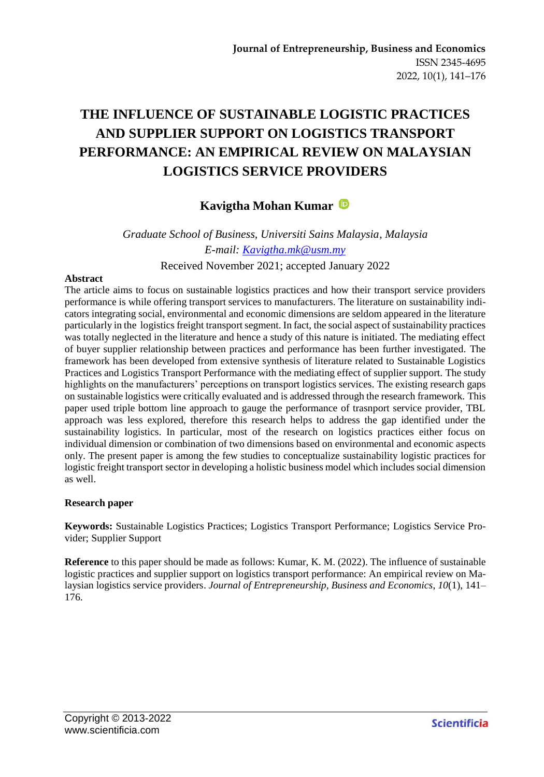# **THE INFLUENCE OF SUSTAINABLE LOGISTIC PRACTICES AND SUPPLIER SUPPORT ON LOGISTICS TRANSPORT PERFORMANCE: AN EMPIRICAL REVIEW ON MALAYSIAN LOGISTICS SERVICE PROVIDERS**

# **Kavigtha Mohan Kumar**

*Graduate School of Business, Universiti Sains Malaysia, Malaysia E-mail: [Kavigtha.mk@usm.my](mailto:Kavigtha.mk@usm.my)* Received November 2021; accepted January 2022

#### **Abstract**

The article aims to focus on sustainable logistics practices and how their transport service providers performance is while offering transport services to manufacturers. The literature on sustainability indicators integrating social, environmental and economic dimensions are seldom appeared in the literature particularly in the logistics freight transport segment. In fact, the social aspect of sustainability practices was totally neglected in the literature and hence a study of this nature is initiated. The mediating effect of buyer supplier relationship between practices and performance has been further investigated. The framework has been developed from extensive synthesis of literature related to Sustainable Logistics Practices and Logistics Transport Performance with the mediating effect of supplier support. The study highlights on the manufacturers' perceptions on transport logistics services. The existing research gaps on sustainable logistics were critically evaluated and is addressed through the research framework. This paper used triple bottom line approach to gauge the performance of trasnport service provider, TBL approach was less explored, therefore this research helps to address the gap identified under the sustainability logistics. In particular, most of the research on logistics practices either focus on individual dimension or combination of two dimensions based on environmental and economic aspects only. The present paper is among the few studies to conceptualize sustainability logistic practices for logistic freight transport sector in developing a holistic business model which includes social dimension as well.

#### **Research paper**

**Keywords:** Sustainable Logistics Practices; Logistics Transport Performance; Logistics Service Provider; Supplier Support

**Reference** to this paper should be made as follows: Kumar, K. M. (2022). The influence of sustainable logistic practices and supplier support on logistics transport performance: An empirical review on Malaysian logistics service providers. *Journal of Entrepreneurship, Business and Economics*, *10*(1), 141– 176.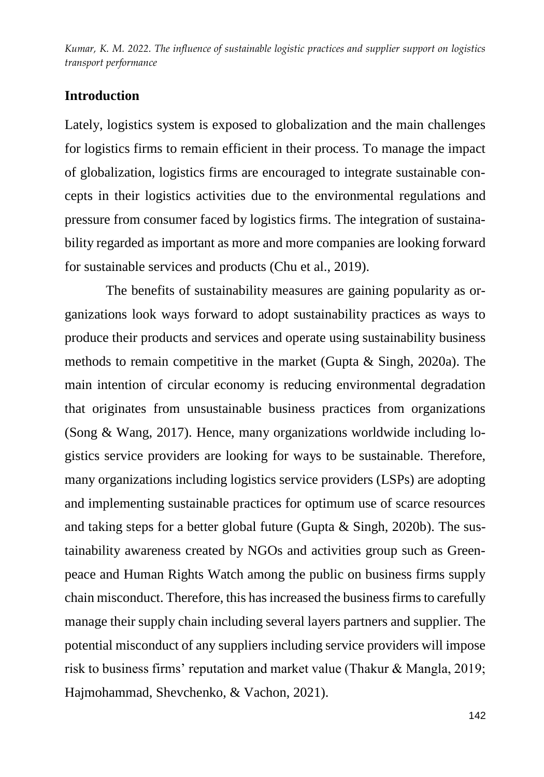# **Introduction**

Lately, logistics system is exposed to globalization and the main challenges for logistics firms to remain efficient in their process. To manage the impact of globalization, logistics firms are encouraged to integrate sustainable concepts in their logistics activities due to the environmental regulations and pressure from consumer faced by logistics firms. The integration of sustainability regarded as important as more and more companies are looking forward for sustainable services and products (Chu et al., 2019).

The benefits of sustainability measures are gaining popularity as organizations look ways forward to adopt sustainability practices as ways to produce their products and services and operate using sustainability business methods to remain competitive in the market (Gupta & Singh, 2020a). The main intention of circular economy is reducing environmental degradation that originates from unsustainable business practices from organizations (Song & Wang, 2017). Hence, many organizations worldwide including logistics service providers are looking for ways to be sustainable. Therefore, many organizations including logistics service providers (LSPs) are adopting and implementing sustainable practices for optimum use of scarce resources and taking steps for a better global future (Gupta & Singh, 2020b). The sustainability awareness created by NGOs and activities group such as Greenpeace and Human Rights Watch among the public on business firms supply chain misconduct. Therefore, this has increased the business firms to carefully manage their supply chain including several layers partners and supplier. The potential misconduct of any suppliers including service providers will impose risk to business firms' reputation and market value (Thakur & Mangla, 2019; Hajmohammad, Shevchenko, & Vachon, 2021).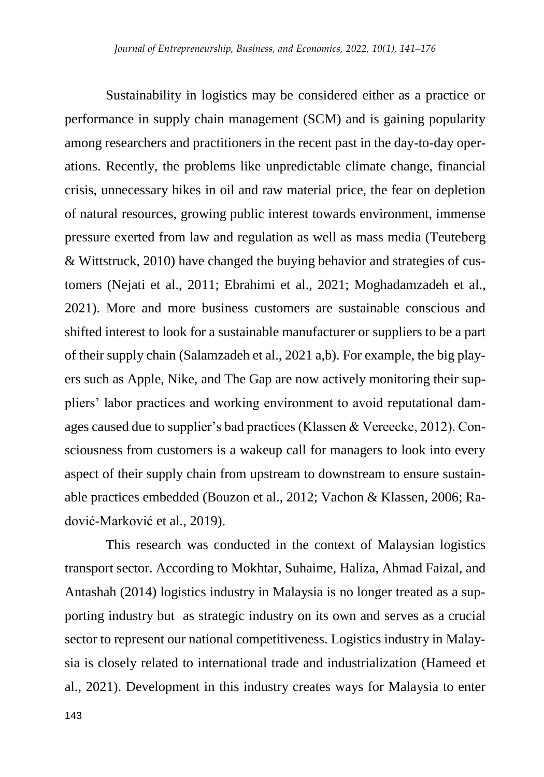Sustainability in logistics may be considered either as a practice or performance in supply chain management (SCM) and is gaining popularity among researchers and practitioners in the recent past in the day-to-day operations. Recently, the problems like unpredictable climate change, financial crisis, unnecessary hikes in oil and raw material price, the fear on depletion of natural resources, growing public interest towards environment, immense pressure exerted from law and regulation as well as mass media (Teuteberg & Wittstruck, 2010) have changed the buying behavior and strategies of customers (Nejati et al., 2011; Ebrahimi et al., 2021; Moghadamzadeh et al., 2021). More and more business customers are sustainable conscious and shifted interest to look for a sustainable manufacturer or suppliers to be a part of their supply chain (Salamzadeh et al., 2021 a,b). For example, the big players such as Apple, Nike, and The Gap are now actively monitoring their suppliers' labor practices and working environment to avoid reputational damages caused due to supplier's bad practices (Klassen & Vereecke, 2012). Consciousness from customers is a wakeup call for managers to look into every aspect of their supply chain from upstream to downstream to ensure sustainable practices embedded (Bouzon et al., 2012; Vachon & Klassen, 2006; Radović-Marković et al., 2019).

This research was conducted in the context of Malaysian logistics transport sector. According to Mokhtar, Suhaime, Haliza, Ahmad Faizal, and Antashah (2014) logistics industry in Malaysia is no longer treated as a supporting industry but as strategic industry on its own and serves as a crucial sector to represent our national competitiveness. Logistics industry in Malaysia is closely related to international trade and industrialization (Hameed et al., 2021). Development in this industry creates ways for Malaysia to enter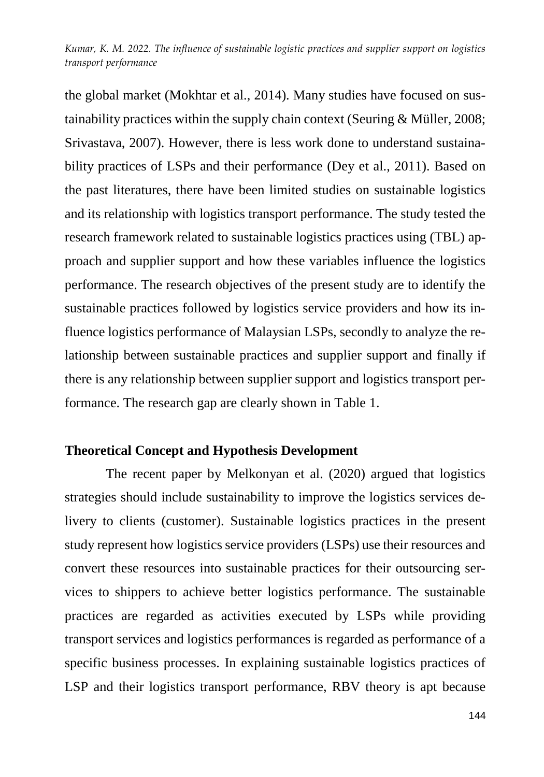the global market (Mokhtar et al., 2014). Many studies have focused on sustainability practices within the supply chain context (Seuring & Müller, 2008; Srivastava, 2007). However, there is less work done to understand sustainability practices of LSPs and their performance (Dey et al., 2011). Based on the past literatures, there have been limited studies on sustainable logistics and its relationship with logistics transport performance. The study tested the research framework related to sustainable logistics practices using (TBL) approach and supplier support and how these variables influence the logistics performance. The research objectives of the present study are to identify the sustainable practices followed by logistics service providers and how its influence logistics performance of Malaysian LSPs, secondly to analyze the relationship between sustainable practices and supplier support and finally if there is any relationship between supplier support and logistics transport performance. The research gap are clearly shown in Table 1.

### **Theoretical Concept and Hypothesis Development**

The recent paper by Melkonyan et al. (2020) argued that logistics strategies should include sustainability to improve the logistics services delivery to clients (customer). Sustainable logistics practices in the present study represent how logistics service providers (LSPs) use their resources and convert these resources into sustainable practices for their outsourcing services to shippers to achieve better logistics performance. The sustainable practices are regarded as activities executed by LSPs while providing transport services and logistics performances is regarded as performance of a specific business processes. In explaining sustainable logistics practices of LSP and their logistics transport performance, RBV theory is apt because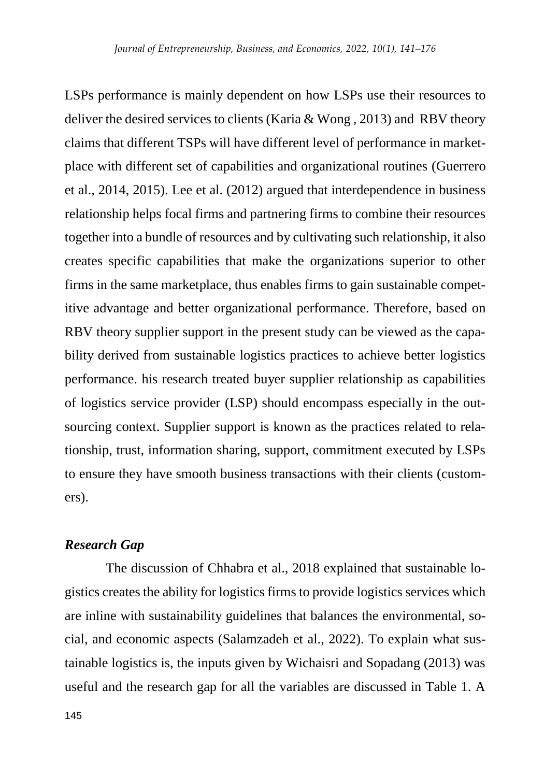LSPs performance is mainly dependent on how LSPs use their resources to deliver the desired services to clients (Karia  $&$  Wong, 2013) and RBV theory claims that different TSPs will have different level of performance in marketplace with different set of capabilities and organizational routines (Guerrero et al., 2014, 2015). Lee et al. (2012) argued that interdependence in business relationship helps focal firms and partnering firms to combine their resources together into a bundle of resources and by cultivating such relationship, it also creates specific capabilities that make the organizations superior to other firms in the same marketplace, thus enables firms to gain sustainable competitive advantage and better organizational performance. Therefore, based on RBV theory supplier support in the present study can be viewed as the capability derived from sustainable logistics practices to achieve better logistics performance. his research treated buyer supplier relationship as capabilities of logistics service provider (LSP) should encompass especially in the outsourcing context. Supplier support is known as the practices related to relationship, trust, information sharing, support, commitment executed by LSPs to ensure they have smooth business transactions with their clients (customers).

### *Research Gap*

The discussion of Chhabra et al., 2018 explained that sustainable logistics creates the ability for logistics firms to provide logistics services which are inline with sustainability guidelines that balances the environmental, social, and economic aspects (Salamzadeh et al., 2022). To explain what sustainable logistics is, the inputs given by Wichaisri and Sopadang (2013) was useful and the research gap for all the variables are discussed in Table 1. A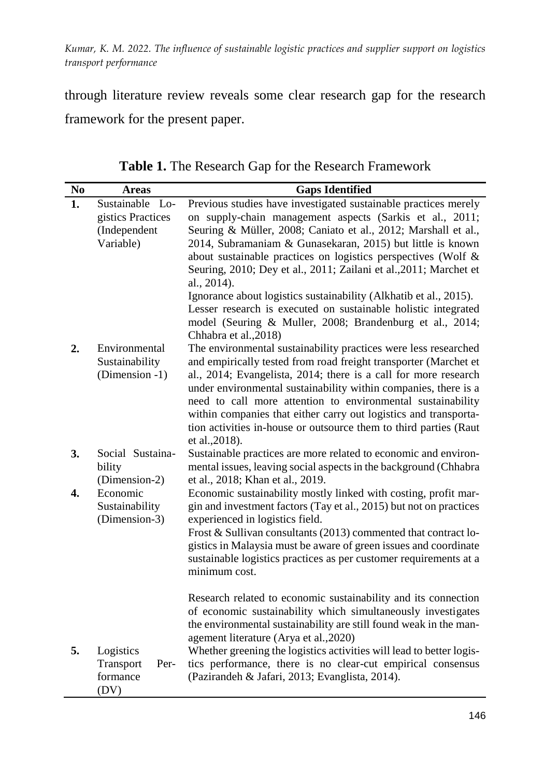through literature review reveals some clear research gap for the research framework for the present paper.

| N <sub>0</sub> | <b>Areas</b>                   | <b>Gaps Identified</b>                                                                                                            |  |  |  |  |
|----------------|--------------------------------|-----------------------------------------------------------------------------------------------------------------------------------|--|--|--|--|
| 1.             | Sustainable<br>$\mathbf{L}$ o- | Previous studies have investigated sustainable practices merely                                                                   |  |  |  |  |
|                | gistics Practices              | on supply-chain management aspects (Sarkis et al., 2011;                                                                          |  |  |  |  |
|                | (Independent                   | Seuring & Müller, 2008; Caniato et al., 2012; Marshall et al.,                                                                    |  |  |  |  |
|                | Variable)                      | 2014, Subramaniam & Gunasekaran, 2015) but little is known                                                                        |  |  |  |  |
|                |                                | about sustainable practices on logistics perspectives (Wolf &                                                                     |  |  |  |  |
|                |                                | Seuring, 2010; Dey et al., 2011; Zailani et al., 2011; Marchet et<br>al., 2014).                                                  |  |  |  |  |
|                |                                | Ignorance about logistics sustainability (Alkhatib et al., 2015).                                                                 |  |  |  |  |
|                |                                | Lesser research is executed on sustainable holistic integrated                                                                    |  |  |  |  |
|                |                                | model (Seuring & Muller, 2008; Brandenburg et al., 2014;<br>Chhabra et al., 2018)                                                 |  |  |  |  |
| 2.             | Environmental                  | The environmental sustainability practices were less researched                                                                   |  |  |  |  |
|                | Sustainability                 | and empirically tested from road freight transporter (Marchet et                                                                  |  |  |  |  |
|                | (Dimension -1)                 | al., 2014; Evangelista, 2014; there is a call for more research                                                                   |  |  |  |  |
|                |                                | under environmental sustainability within companies, there is a                                                                   |  |  |  |  |
|                |                                | need to call more attention to environmental sustainability                                                                       |  |  |  |  |
|                |                                | within companies that either carry out logistics and transporta-                                                                  |  |  |  |  |
|                |                                | tion activities in-house or outsource them to third parties (Raut                                                                 |  |  |  |  |
|                |                                | et al., 2018).                                                                                                                    |  |  |  |  |
| 3.             | Social Sustaina-               | Sustainable practices are more related to economic and environ-                                                                   |  |  |  |  |
|                | bility                         | mental issues, leaving social aspects in the background (Chhabra                                                                  |  |  |  |  |
|                | (Dimension-2)                  | et al., 2018; Khan et al., 2019.                                                                                                  |  |  |  |  |
| 4.             | Economic                       | Economic sustainability mostly linked with costing, profit mar-                                                                   |  |  |  |  |
|                | Sustainability                 | gin and investment factors (Tay et al., 2015) but not on practices                                                                |  |  |  |  |
|                | (Dimension-3)                  | experienced in logistics field.                                                                                                   |  |  |  |  |
|                |                                | Frost & Sullivan consultants (2013) commented that contract lo-                                                                   |  |  |  |  |
|                |                                | gistics in Malaysia must be aware of green issues and coordinate                                                                  |  |  |  |  |
|                |                                | sustainable logistics practices as per customer requirements at a                                                                 |  |  |  |  |
|                |                                | minimum cost.                                                                                                                     |  |  |  |  |
|                |                                | Research related to economic sustainability and its connection                                                                    |  |  |  |  |
|                |                                | of economic sustainability which simultaneously investigates<br>the environmental sustainability are still found weak in the man- |  |  |  |  |
|                |                                | agement literature (Arya et al., 2020)                                                                                            |  |  |  |  |
| 5.             | Logistics                      | Whether greening the logistics activities will lead to better logis-                                                              |  |  |  |  |
|                | Transport<br>Per-              | tics performance, there is no clear-cut empirical consensus                                                                       |  |  |  |  |
|                | formance<br>(DV)               | (Pazirandeh & Jafari, 2013; Evanglista, 2014).                                                                                    |  |  |  |  |

**Table 1.** The Research Gap for the Research Framework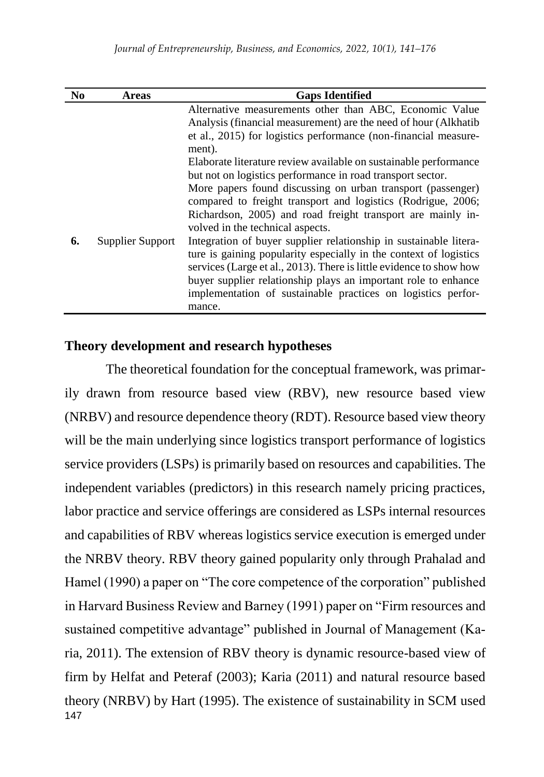| N <sub>0</sub> | <b>Areas</b>     | <b>Gaps Identified</b>                                              |
|----------------|------------------|---------------------------------------------------------------------|
|                |                  | Alternative measurements other than ABC, Economic Value             |
|                |                  | Analysis (financial measurement) are the need of hour (Alkhatib     |
|                |                  | et al., 2015) for logistics performance (non-financial measure-     |
|                |                  | ment).                                                              |
|                |                  | Elaborate literature review available on sustainable performance    |
|                |                  | but not on logistics performance in road transport sector.          |
|                |                  | More papers found discussing on urban transport (passenger)         |
|                |                  | compared to freight transport and logistics (Rodrigue, 2006;        |
|                |                  | Richardson, 2005) and road freight transport are mainly in-         |
|                |                  | volved in the technical aspects.                                    |
| 6.             | Supplier Support | Integration of buyer supplier relationship in sustainable litera-   |
|                |                  | ture is gaining popularity especially in the context of logistics   |
|                |                  | services (Large et al., 2013). There is little evidence to show how |
|                |                  | buyer supplier relationship plays an important role to enhance      |
|                |                  | implementation of sustainable practices on logistics perfor-        |
|                |                  | mance.                                                              |

### **Theory development and research hypotheses**

147 The theoretical foundation for the conceptual framework, was primarily drawn from resource based view (RBV), new resource based view (NRBV) and resource dependence theory (RDT). Resource based view theory will be the main underlying since logistics transport performance of logistics service providers (LSPs) is primarily based on resources and capabilities. The independent variables (predictors) in this research namely pricing practices, labor practice and service offerings are considered as LSPs internal resources and capabilities of RBV whereas logistics service execution is emerged under the NRBV theory. RBV theory gained popularity only through Prahalad and Hamel (1990) a paper on "The core competence of the corporation" published in Harvard Business Review and Barney (1991) paper on "Firm resources and sustained competitive advantage" published in Journal of Management (Karia, 2011). The extension of RBV theory is dynamic resource-based view of firm by Helfat and Peteraf (2003); Karia (2011) and natural resource based theory (NRBV) by Hart (1995). The existence of sustainability in SCM used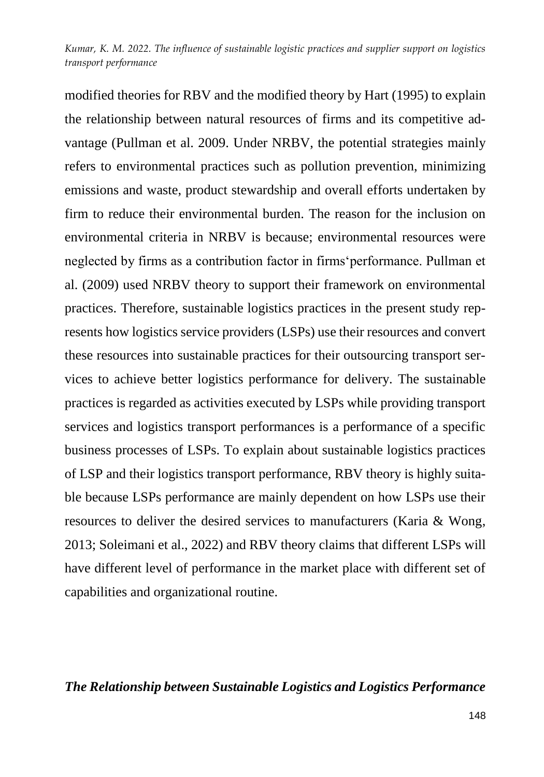modified theories for RBV and the modified theory by Hart (1995) to explain the relationship between natural resources of firms and its competitive advantage (Pullman et al. 2009. Under NRBV, the potential strategies mainly refers to environmental practices such as pollution prevention, minimizing emissions and waste, product stewardship and overall efforts undertaken by firm to reduce their environmental burden. The reason for the inclusion on environmental criteria in NRBV is because; environmental resources were neglected by firms as a contribution factor in firms'performance. Pullman et al. (2009) used NRBV theory to support their framework on environmental practices. Therefore, sustainable logistics practices in the present study represents how logistics service providers (LSPs) use their resources and convert these resources into sustainable practices for their outsourcing transport services to achieve better logistics performance for delivery. The sustainable practices is regarded as activities executed by LSPs while providing transport services and logistics transport performances is a performance of a specific business processes of LSPs. To explain about sustainable logistics practices of LSP and their logistics transport performance, RBV theory is highly suitable because LSPs performance are mainly dependent on how LSPs use their resources to deliver the desired services to manufacturers (Karia & Wong, 2013; Soleimani et al., 2022) and RBV theory claims that different LSPs will have different level of performance in the market place with different set of capabilities and organizational routine.

### *The Relationship between Sustainable Logistics and Logistics Performance*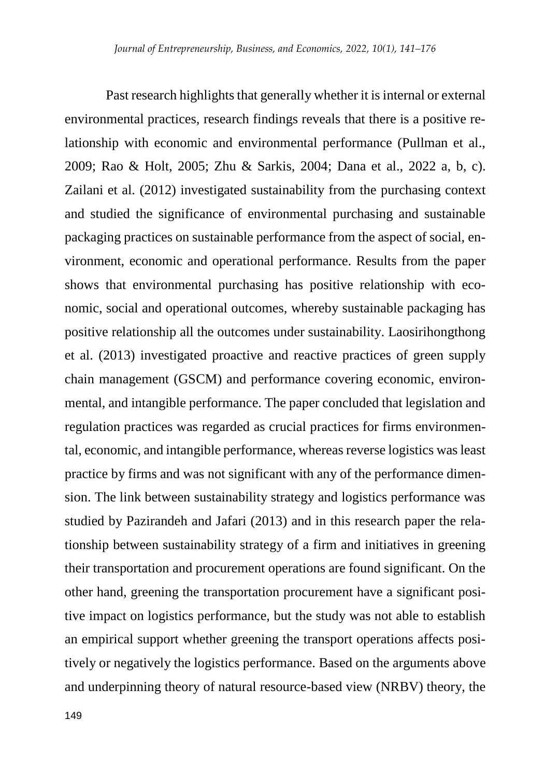Past research highlights that generally whether it is internal or external environmental practices, research findings reveals that there is a positive relationship with economic and environmental performance (Pullman et al., 2009; Rao & Holt, 2005; Zhu & Sarkis, 2004; Dana et al., 2022 a, b, c). Zailani et al. (2012) investigated sustainability from the purchasing context and studied the significance of environmental purchasing and sustainable packaging practices on sustainable performance from the aspect of social, environment, economic and operational performance. Results from the paper shows that environmental purchasing has positive relationship with economic, social and operational outcomes, whereby sustainable packaging has positive relationship all the outcomes under sustainability. Laosirihongthong et al. (2013) investigated proactive and reactive practices of green supply chain management (GSCM) and performance covering economic, environmental, and intangible performance. The paper concluded that legislation and regulation practices was regarded as crucial practices for firms environmental, economic, and intangible performance, whereas reverse logistics was least practice by firms and was not significant with any of the performance dimension. The link between sustainability strategy and logistics performance was studied by Pazirandeh and Jafari (2013) and in this research paper the relationship between sustainability strategy of a firm and initiatives in greening their transportation and procurement operations are found significant. On the other hand, greening the transportation procurement have a significant positive impact on logistics performance, but the study was not able to establish an empirical support whether greening the transport operations affects positively or negatively the logistics performance. Based on the arguments above and underpinning theory of natural resource-based view (NRBV) theory, the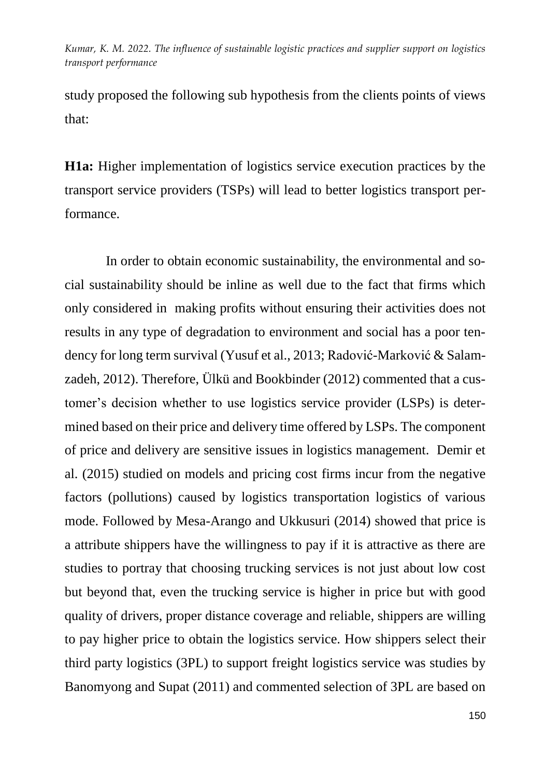study proposed the following sub hypothesis from the clients points of views that:

**H1a:** Higher implementation of logistics service execution practices by the transport service providers (TSPs) will lead to better logistics transport performance.

In order to obtain economic sustainability, the environmental and social sustainability should be inline as well due to the fact that firms which only considered in making profits without ensuring their activities does not results in any type of degradation to environment and social has a poor tendency for long term survival (Yusuf et al., 2013; Radović-Marković & Salamzadeh, 2012). Therefore, Ülkü and Bookbinder (2012) commented that a customer's decision whether to use logistics service provider (LSPs) is determined based on their price and delivery time offered by LSPs. The component of price and delivery are sensitive issues in logistics management. Demir et al. (2015) studied on models and pricing cost firms incur from the negative factors (pollutions) caused by logistics transportation logistics of various mode. Followed by Mesa-Arango and Ukkusuri (2014) showed that price is a attribute shippers have the willingness to pay if it is attractive as there are studies to portray that choosing trucking services is not just about low cost but beyond that, even the trucking service is higher in price but with good quality of drivers, proper distance coverage and reliable, shippers are willing to pay higher price to obtain the logistics service. How shippers select their third party logistics (3PL) to support freight logistics service was studies by Banomyong and Supat (2011) and commented selection of 3PL are based on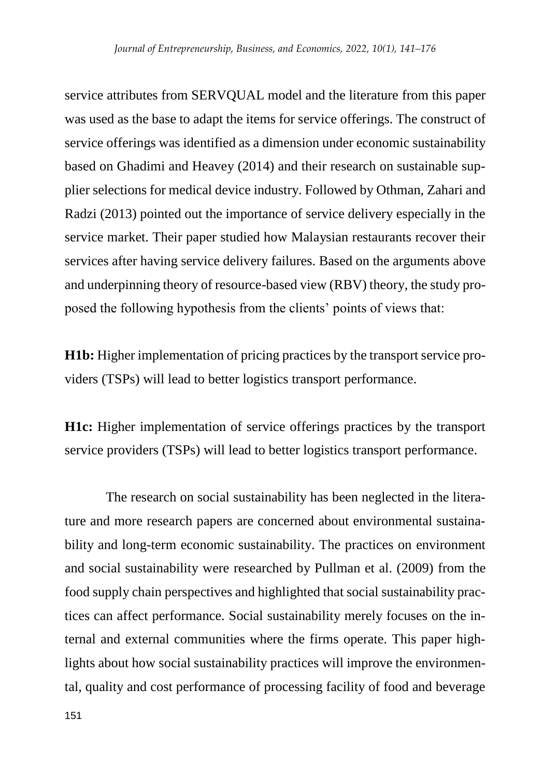service attributes from SERVQUAL model and the literature from this paper was used as the base to adapt the items for service offerings. The construct of service offerings was identified as a dimension under economic sustainability based on Ghadimi and Heavey (2014) and their research on sustainable supplier selections for medical device industry. Followed by Othman, Zahari and Radzi (2013) pointed out the importance of service delivery especially in the service market. Their paper studied how Malaysian restaurants recover their services after having service delivery failures. Based on the arguments above and underpinning theory of resource-based view (RBV) theory, the study proposed the following hypothesis from the clients' points of views that:

**H1b:** Higher implementation of pricing practices by the transport service providers (TSPs) will lead to better logistics transport performance.

**H1c:** Higher implementation of service offerings practices by the transport service providers (TSPs) will lead to better logistics transport performance.

The research on social sustainability has been neglected in the literature and more research papers are concerned about environmental sustainability and long-term economic sustainability. The practices on environment and social sustainability were researched by Pullman et al. (2009) from the food supply chain perspectives and highlighted that social sustainability practices can affect performance. Social sustainability merely focuses on the internal and external communities where the firms operate. This paper highlights about how social sustainability practices will improve the environmental, quality and cost performance of processing facility of food and beverage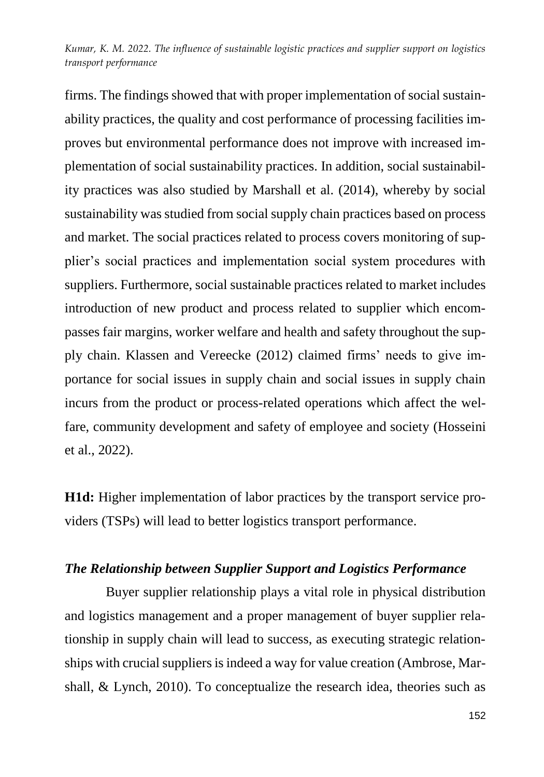firms. The findings showed that with proper implementation of social sustainability practices, the quality and cost performance of processing facilities improves but environmental performance does not improve with increased implementation of social sustainability practices. In addition, social sustainability practices was also studied by Marshall et al. (2014), whereby by social sustainability was studied from social supply chain practices based on process and market. The social practices related to process covers monitoring of supplier's social practices and implementation social system procedures with suppliers. Furthermore, social sustainable practices related to market includes introduction of new product and process related to supplier which encompasses fair margins, worker welfare and health and safety throughout the supply chain. Klassen and Vereecke (2012) claimed firms' needs to give importance for social issues in supply chain and social issues in supply chain incurs from the product or process-related operations which affect the welfare, community development and safety of employee and society (Hosseini et al., 2022).

**H1d:** Higher implementation of labor practices by the transport service providers (TSPs) will lead to better logistics transport performance.

# *The Relationship between Supplier Support and Logistics Performance*

Buyer supplier relationship plays a vital role in physical distribution and logistics management and a proper management of buyer supplier relationship in supply chain will lead to success, as executing strategic relationships with crucial suppliers is indeed a way for value creation (Ambrose, Marshall, & Lynch, 2010). To conceptualize the research idea, theories such as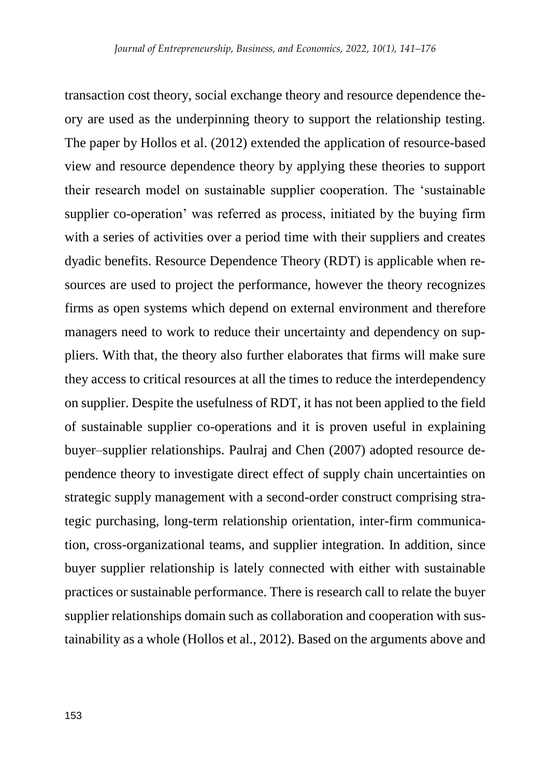transaction cost theory, social exchange theory and resource dependence theory are used as the underpinning theory to support the relationship testing. The paper by Hollos et al. (2012) extended the application of resource-based view and resource dependence theory by applying these theories to support their research model on sustainable supplier cooperation. The 'sustainable supplier co-operation' was referred as process, initiated by the buying firm with a series of activities over a period time with their suppliers and creates dyadic benefits. Resource Dependence Theory (RDT) is applicable when resources are used to project the performance, however the theory recognizes firms as open systems which depend on external environment and therefore managers need to work to reduce their uncertainty and dependency on suppliers. With that, the theory also further elaborates that firms will make sure they access to critical resources at all the times to reduce the interdependency on supplier. Despite the usefulness of RDT, it has not been applied to the field of sustainable supplier co-operations and it is proven useful in explaining buyer–supplier relationships. Paulraj and Chen (2007) adopted resource dependence theory to investigate direct effect of supply chain uncertainties on strategic supply management with a second-order construct comprising strategic purchasing, long-term relationship orientation, inter-firm communication, cross-organizational teams, and supplier integration. In addition, since buyer supplier relationship is lately connected with either with sustainable practices or sustainable performance. There is research call to relate the buyer supplier relationships domain such as collaboration and cooperation with sustainability as a whole (Hollos et al., 2012). Based on the arguments above and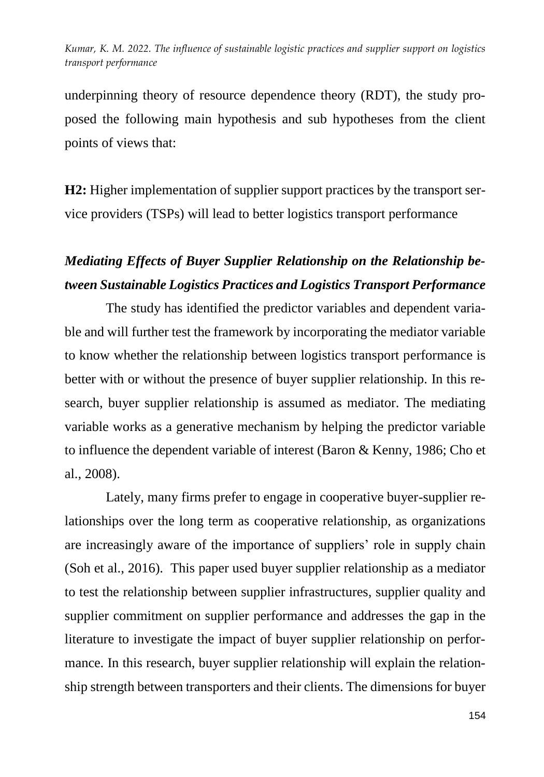underpinning theory of resource dependence theory (RDT), the study proposed the following main hypothesis and sub hypotheses from the client points of views that:

**H2:** Higher implementation of supplier support practices by the transport service providers (TSPs) will lead to better logistics transport performance

# *Mediating Effects of Buyer Supplier Relationship on the Relationship between Sustainable Logistics Practices and Logistics Transport Performance*

The study has identified the predictor variables and dependent variable and will further test the framework by incorporating the mediator variable to know whether the relationship between logistics transport performance is better with or without the presence of buyer supplier relationship. In this research, buyer supplier relationship is assumed as mediator. The mediating variable works as a generative mechanism by helping the predictor variable to influence the dependent variable of interest (Baron & Kenny, 1986; Cho et al., 2008).

Lately, many firms prefer to engage in cooperative buyer-supplier relationships over the long term as cooperative relationship, as organizations are increasingly aware of the importance of suppliers' role in supply chain (Soh et al., 2016). This paper used buyer supplier relationship as a mediator to test the relationship between supplier infrastructures, supplier quality and supplier commitment on supplier performance and addresses the gap in the literature to investigate the impact of buyer supplier relationship on performance. In this research, buyer supplier relationship will explain the relationship strength between transporters and their clients. The dimensions for buyer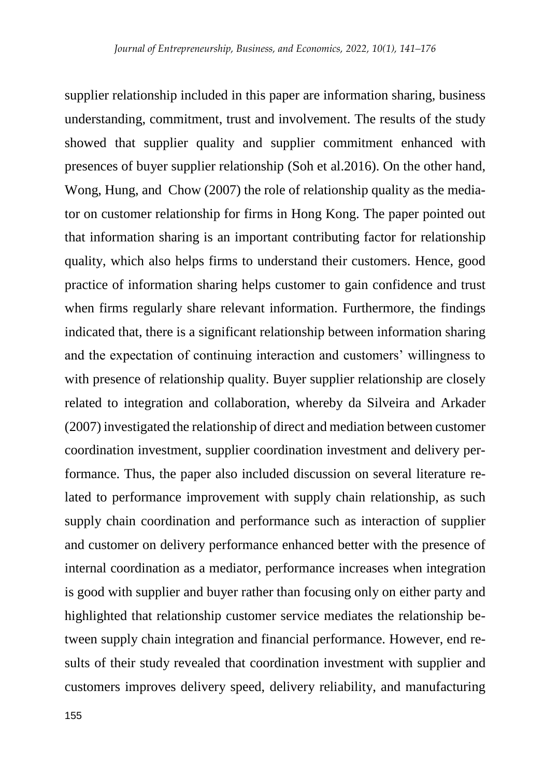supplier relationship included in this paper are information sharing, business understanding, commitment, trust and involvement. The results of the study showed that supplier quality and supplier commitment enhanced with presences of buyer supplier relationship (Soh et al.2016). On the other hand, Wong, Hung, and Chow (2007) the role of relationship quality as the mediator on customer relationship for firms in Hong Kong. The paper pointed out that information sharing is an important contributing factor for relationship quality, which also helps firms to understand their customers. Hence, good practice of information sharing helps customer to gain confidence and trust when firms regularly share relevant information. Furthermore, the findings indicated that, there is a significant relationship between information sharing and the expectation of continuing interaction and customers' willingness to with presence of relationship quality. Buyer supplier relationship are closely related to integration and collaboration, whereby da Silveira and Arkader (2007) investigated the relationship of direct and mediation between customer coordination investment, supplier coordination investment and delivery performance. Thus, the paper also included discussion on several literature related to performance improvement with supply chain relationship, as such supply chain coordination and performance such as interaction of supplier and customer on delivery performance enhanced better with the presence of internal coordination as a mediator, performance increases when integration is good with supplier and buyer rather than focusing only on either party and highlighted that relationship customer service mediates the relationship between supply chain integration and financial performance. However, end results of their study revealed that coordination investment with supplier and customers improves delivery speed, delivery reliability, and manufacturing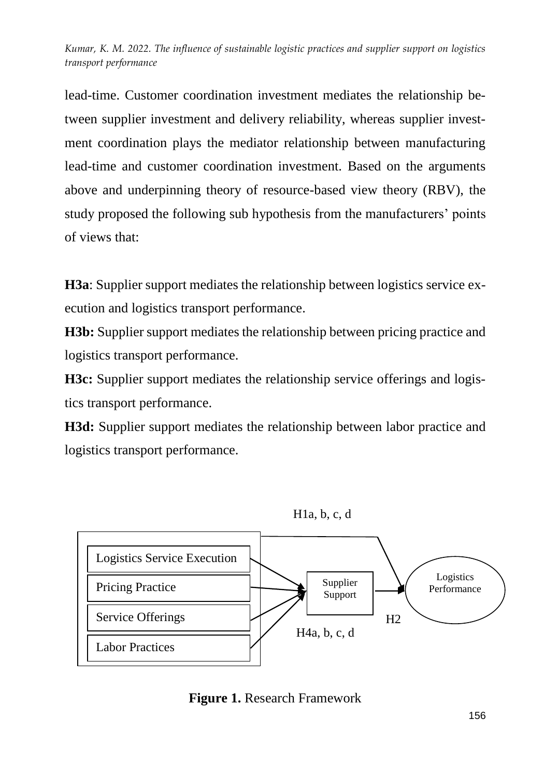lead-time. Customer coordination investment mediates the relationship between supplier investment and delivery reliability, whereas supplier investment coordination plays the mediator relationship between manufacturing lead-time and customer coordination investment. Based on the arguments above and underpinning theory of resource-based view theory (RBV), the study proposed the following sub hypothesis from the manufacturers' points of views that:

**H3a**: Supplier support mediates the relationship between logistics service execution and logistics transport performance.

**H3b:** Supplier support mediates the relationship between pricing practice and logistics transport performance.

**H3c:** Supplier support mediates the relationship service offerings and logistics transport performance.

**H3d:** Supplier support mediates the relationship between labor practice and logistics transport performance.



**Figure 1.** Research Framework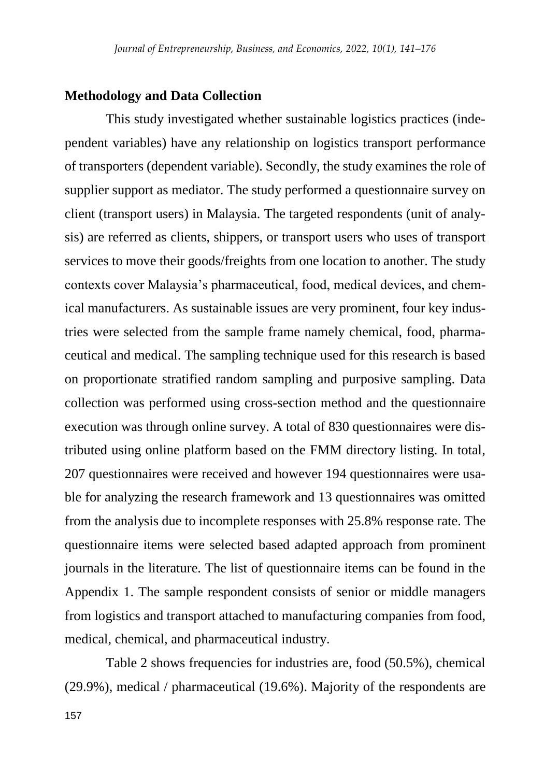### **Methodology and Data Collection**

This study investigated whether sustainable logistics practices (independent variables) have any relationship on logistics transport performance of transporters (dependent variable). Secondly, the study examines the role of supplier support as mediator. The study performed a questionnaire survey on client (transport users) in Malaysia. The targeted respondents (unit of analysis) are referred as clients, shippers, or transport users who uses of transport services to move their goods/freights from one location to another. The study contexts cover Malaysia's pharmaceutical, food, medical devices, and chemical manufacturers. As sustainable issues are very prominent, four key industries were selected from the sample frame namely chemical, food, pharmaceutical and medical. The sampling technique used for this research is based on proportionate stratified random sampling and purposive sampling. Data collection was performed using cross-section method and the questionnaire execution was through online survey. A total of 830 questionnaires were distributed using online platform based on the FMM directory listing. In total, 207 questionnaires were received and however 194 questionnaires were usable for analyzing the research framework and 13 questionnaires was omitted from the analysis due to incomplete responses with 25.8% response rate. The questionnaire items were selected based adapted approach from prominent journals in the literature. The list of questionnaire items can be found in the Appendix 1. The sample respondent consists of senior or middle managers from logistics and transport attached to manufacturing companies from food, medical, chemical, and pharmaceutical industry.

Table 2 shows frequencies for industries are, food (50.5%), chemical (29.9%), medical / pharmaceutical (19.6%). Majority of the respondents are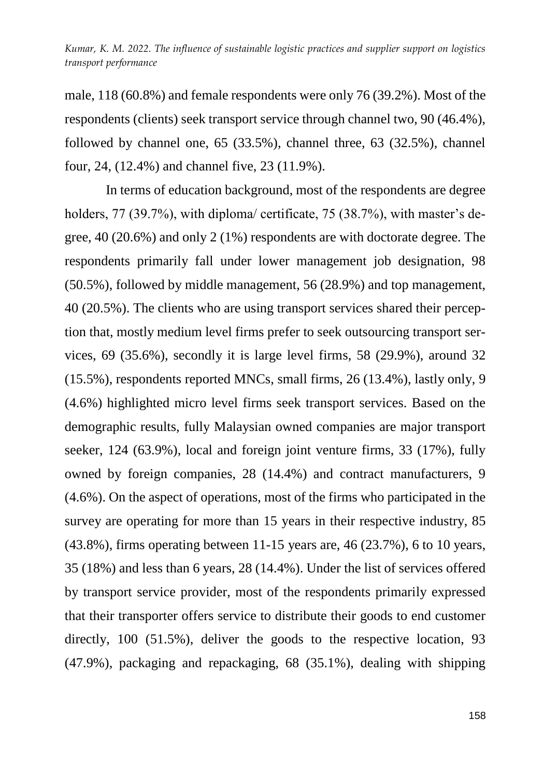male, 118 (60.8%) and female respondents were only 76 (39.2%). Most of the respondents (clients) seek transport service through channel two, 90 (46.4%), followed by channel one, 65 (33.5%), channel three, 63 (32.5%), channel four, 24, (12.4%) and channel five, 23 (11.9%).

In terms of education background, most of the respondents are degree holders, 77 (39.7%), with diploma/ certificate, 75 (38.7%), with master's degree, 40 (20.6%) and only 2 (1%) respondents are with doctorate degree. The respondents primarily fall under lower management job designation, 98 (50.5%), followed by middle management, 56 (28.9%) and top management, 40 (20.5%). The clients who are using transport services shared their perception that, mostly medium level firms prefer to seek outsourcing transport services, 69 (35.6%), secondly it is large level firms, 58 (29.9%), around 32 (15.5%), respondents reported MNCs, small firms, 26 (13.4%), lastly only, 9 (4.6%) highlighted micro level firms seek transport services. Based on the demographic results, fully Malaysian owned companies are major transport seeker, 124 (63.9%), local and foreign joint venture firms, 33 (17%), fully owned by foreign companies, 28 (14.4%) and contract manufacturers, 9 (4.6%). On the aspect of operations, most of the firms who participated in the survey are operating for more than 15 years in their respective industry, 85 (43.8%), firms operating between 11-15 years are, 46 (23.7%), 6 to 10 years, 35 (18%) and less than 6 years, 28 (14.4%). Under the list of services offered by transport service provider, most of the respondents primarily expressed that their transporter offers service to distribute their goods to end customer directly, 100 (51.5%), deliver the goods to the respective location, 93 (47.9%), packaging and repackaging, 68 (35.1%), dealing with shipping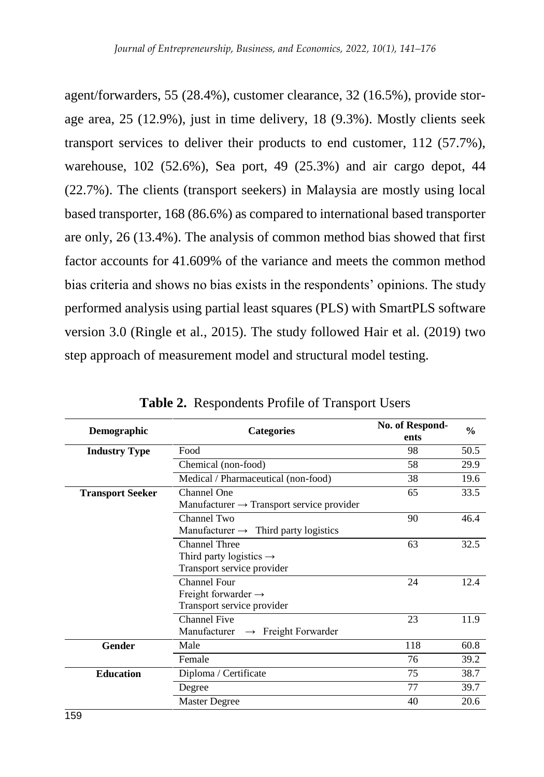agent/forwarders, 55 (28.4%), customer clearance, 32 (16.5%), provide storage area, 25 (12.9%), just in time delivery, 18 (9.3%). Mostly clients seek transport services to deliver their products to end customer, 112 (57.7%), warehouse, 102 (52.6%), Sea port, 49 (25.3%) and air cargo depot, 44 (22.7%). The clients (transport seekers) in Malaysia are mostly using local based transporter, 168 (86.6%) as compared to international based transporter are only, 26 (13.4%). The analysis of common method bias showed that first factor accounts for 41.609% of the variance and meets the common method bias criteria and shows no bias exists in the respondents' opinions. The study performed analysis using partial least squares (PLS) with SmartPLS software version 3.0 (Ringle et al., 2015). The study followed Hair et al. (2019) two step approach of measurement model and structural model testing.

| <b>Demographic</b>      | <b>Categories</b>                                     | No. of Respond-<br>ents | $\frac{0}{0}$<br>50.5 |  |  |
|-------------------------|-------------------------------------------------------|-------------------------|-----------------------|--|--|
|                         |                                                       | 98                      |                       |  |  |
| <b>Industry Type</b>    | Food                                                  |                         |                       |  |  |
|                         | Chemical (non-food)                                   | 58                      | 29.9                  |  |  |
|                         | Medical / Pharmaceutical (non-food)                   | 38                      | 19.6                  |  |  |
| <b>Transport Seeker</b> | Channel One                                           | 65                      | 33.5                  |  |  |
|                         | Manufacturer $\rightarrow$ Transport service provider |                         |                       |  |  |
|                         | Channel Two                                           | 90                      | 46.4                  |  |  |
|                         | Manufacturer $\rightarrow$ Third party logistics      |                         |                       |  |  |
|                         | <b>Channel Three</b>                                  |                         |                       |  |  |
|                         |                                                       |                         |                       |  |  |
|                         | Transport service provider                            |                         |                       |  |  |
|                         | 24                                                    | 12.4                    |                       |  |  |
|                         |                                                       |                         |                       |  |  |
|                         | Transport service provider                            |                         |                       |  |  |
|                         | Channel Five                                          | 23                      | 11.9                  |  |  |
|                         | Manufacturer $\rightarrow$ Freight Forwarder          |                         |                       |  |  |
| Gender                  | Male                                                  | 118                     | 60.8                  |  |  |
|                         | Female                                                | 76                      | 39.2                  |  |  |
| <b>Education</b>        | Diploma / Certificate                                 | 75                      | 38.7                  |  |  |
|                         | Degree                                                | 77                      | 39.7                  |  |  |
|                         | <b>Master Degree</b>                                  | 40                      | 20.6                  |  |  |

**Table 2.** Respondents Profile of Transport Users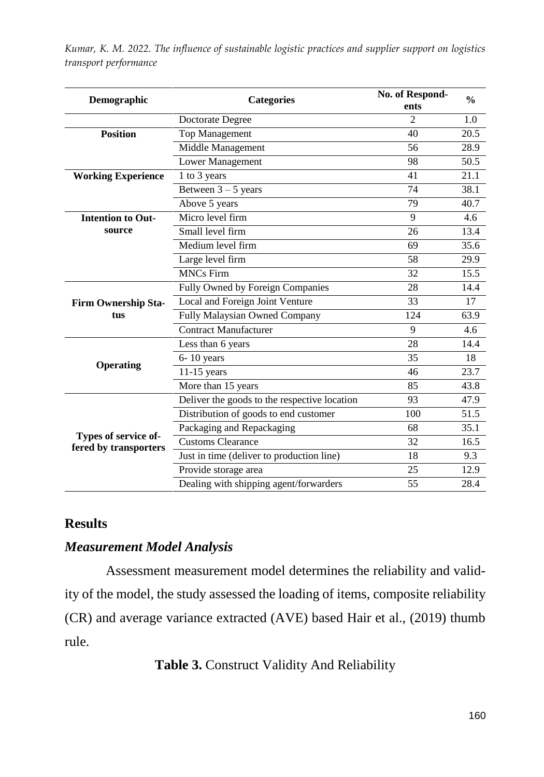| <b>Categories</b><br>Demographic              |                                              | No. of Respond-<br>ents | $\frac{0}{0}$ |  |
|-----------------------------------------------|----------------------------------------------|-------------------------|---------------|--|
|                                               | Doctorate Degree                             | $\mathfrak{D}$          | 1.0           |  |
| <b>Position</b>                               | <b>Top Management</b>                        | 40                      | 20.5          |  |
|                                               | Middle Management                            | 56                      | 28.9          |  |
|                                               | Lower Management                             | 98                      | 50.5          |  |
| <b>Working Experience</b>                     | 1 to 3 years                                 | 41                      | 21.1          |  |
|                                               | Between $3 - 5$ years                        | 74                      | 38.1          |  |
|                                               | Above 5 years                                | 79                      | 40.7          |  |
| <b>Intention to Out-</b>                      | Micro level firm                             | 9                       | 4.6           |  |
| source                                        | Small level firm                             | 26                      | 13.4          |  |
|                                               | Medium level firm                            | 69                      | 35.6          |  |
|                                               | Large level firm                             | 58                      | 29.9          |  |
|                                               | <b>MNCs Firm</b>                             | 32                      | 15.5          |  |
|                                               | Fully Owned by Foreign Companies             | 28                      | 14.4          |  |
| <b>Firm Ownership Sta-</b>                    | Local and Foreign Joint Venture              | 33                      | 17            |  |
| tus                                           | Fully Malaysian Owned Company                | 124                     | 63.9          |  |
|                                               | <b>Contract Manufacturer</b>                 | 9                       | 4.6           |  |
|                                               | Less than 6 years                            | 28                      | 14.4          |  |
| Operating                                     | $6-10$ years                                 | 35                      | 18            |  |
|                                               | $11-15$ years                                | 46                      | 23.7          |  |
|                                               | More than 15 years                           | 85                      | 43.8          |  |
|                                               | Deliver the goods to the respective location | 93                      | 47.9          |  |
|                                               | Distribution of goods to end customer        | 100                     | 51.5          |  |
|                                               | Packaging and Repackaging                    | 68                      | 35.1          |  |
| Types of service of-<br>fered by transporters | <b>Customs Clearance</b>                     | 32                      | 16.5          |  |
|                                               | Just in time (deliver to production line)    | 18                      | 9.3           |  |
|                                               | Provide storage area                         | 25                      | 12.9          |  |
|                                               | Dealing with shipping agent/forwarders       | 55                      | 28.4          |  |

# **Results**

# *Measurement Model Analysis*

Assessment measurement model determines the reliability and validity of the model, the study assessed the loading of items, composite reliability (CR) and average variance extracted (AVE) based Hair et al., (2019) thumb rule.

**Table 3.** Construct Validity And Reliability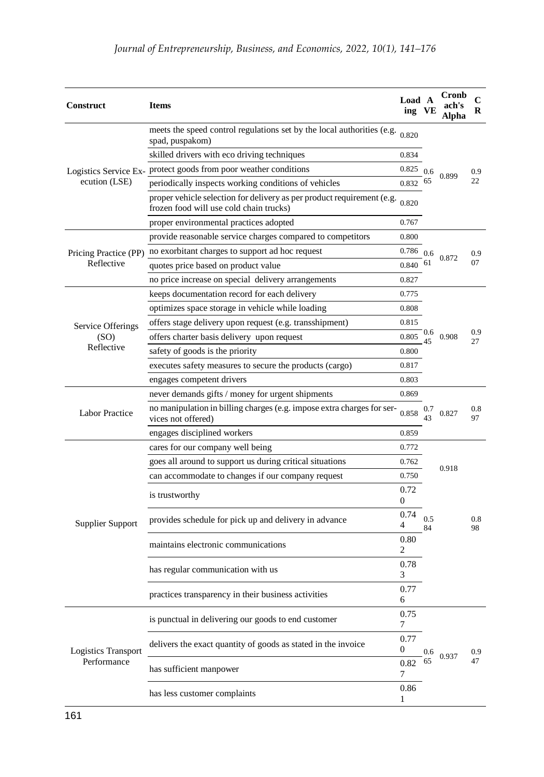| <b>Construct</b>      | <b>Items</b>                                                                                                                                                    | Load A<br>ing | VЕ        | Cronb<br>ach's<br>Alpha | C<br>R    |
|-----------------------|-----------------------------------------------------------------------------------------------------------------------------------------------------------------|---------------|-----------|-------------------------|-----------|
|                       | meets the speed control regulations set by the local authorities (e.g. $_{0.820}$ )<br>spad, puspakom)                                                          |               |           |                         |           |
|                       | skilled drivers with eco driving techniques                                                                                                                     | 0.834         |           |                         |           |
|                       | Logistics Service Ex- protect goods from poor weather conditions                                                                                                | 0.825         | 0.6       |                         | 0.9       |
| ecution (LSE)         | periodically inspects working conditions of vehicles                                                                                                            | 0.832         | 65        | 0.899                   | 22        |
|                       | proper vehicle selection for delivery as per product requirement (e.g.<br>frozen food will use cold chain trucks)                                               | 0.820         |           |                         |           |
|                       | proper environmental practices adopted                                                                                                                          | 0.767         |           |                         |           |
|                       | provide reasonable service charges compared to competitors<br>0.800                                                                                             |               |           |                         |           |
|                       | Pricing Practice (PP) no exorbitant charges to support ad hoc request<br>0.786                                                                                  |               | 0.6       |                         | 0.9       |
| Reflective            | quotes price based on product value                                                                                                                             | 0.840         | 61        | 0.872                   | 07        |
|                       | no price increase on special delivery arrangements                                                                                                              | 0.827         |           |                         |           |
|                       | keeps documentation record for each delivery                                                                                                                    | 0.775         |           |                         |           |
|                       | optimizes space storage in vehicle while loading                                                                                                                | 0.808         |           |                         |           |
| Service Offerings     | offers stage delivery upon request (e.g. transshipment)                                                                                                         | 0.815         |           |                         | 0.9<br>27 |
| (SO)                  | offers charter basis delivery upon request                                                                                                                      | 0.805         | 0.6       | 0.908                   |           |
| Reflective            | safety of goods is the priority                                                                                                                                 | 0.800         |           |                         |           |
|                       | executes safety measures to secure the products (cargo)                                                                                                         | 0.817         |           |                         |           |
|                       | engages competent drivers                                                                                                                                       | 0.803         |           |                         |           |
|                       | never demands gifts / money for urgent shipments                                                                                                                | 0.869         |           |                         |           |
| <b>Labor Practice</b> | no manipulation in billing charges (e.g. impose extra charges for ser-<br>vices not offered)                                                                    |               |           | 0.827                   | 0.8<br>97 |
|                       | engages disciplined workers                                                                                                                                     |               |           |                         |           |
|                       | cares for our company well being                                                                                                                                |               |           |                         |           |
|                       | goes all around to support us during critical situations                                                                                                        | 0.762         |           |                         |           |
|                       | can accommodate to changes if our company request                                                                                                               | 0.750         |           | 0.918                   |           |
|                       | is trustworthy                                                                                                                                                  | 0.72          |           |                         |           |
|                       |                                                                                                                                                                 | 0             |           |                         |           |
| Supplier Support      | provides schedule for pick up and delivery in advance                                                                                                           | 0.74<br>4     | 0.5<br>84 |                         | 0.8<br>98 |
|                       | maintains electronic communications                                                                                                                             | 0.80<br>2     |           |                         |           |
|                       | has regular communication with us                                                                                                                               | 0.78<br>3     |           |                         |           |
|                       | 0.77<br>practices transparency in their business activities<br>6                                                                                                |               |           |                         |           |
|                       | is punctual in delivering our goods to end customer                                                                                                             | 0.75<br>7     |           |                         |           |
| Logistics Transport   | 0.77<br>delivers the exact quantity of goods as stated in the invoice<br>0<br>0.82<br>has sufficient manpower<br>7<br>0.86<br>has less customer complaints<br>1 |               | 0.6<br>65 | 0.937                   | 0.9<br>47 |
| Performance           |                                                                                                                                                                 |               |           |                         |           |
|                       |                                                                                                                                                                 |               |           |                         |           |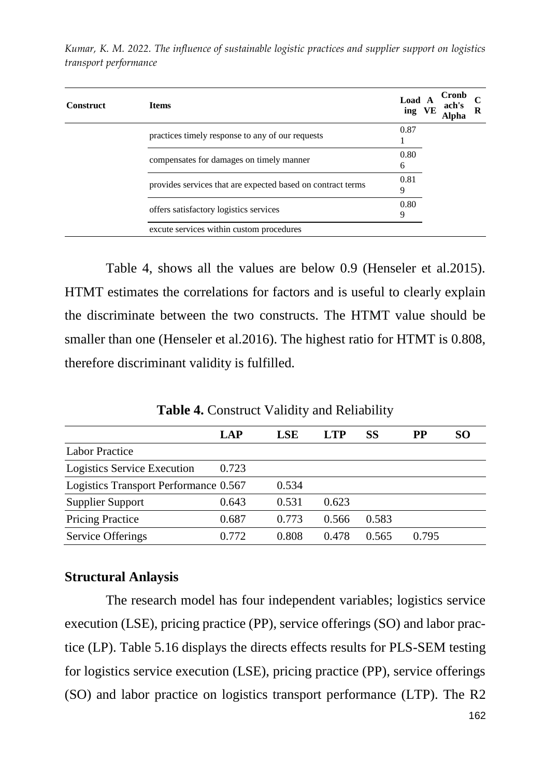| <b>Construct</b> | <b>Items</b>                                                | Load A<br>ing VE | Cronb<br>ach's<br>Alpha | C<br>R |
|------------------|-------------------------------------------------------------|------------------|-------------------------|--------|
|                  | practices timely response to any of our requests            | 0.87             |                         |        |
|                  | compensates for damages on timely manner                    | 0.80<br>6        |                         |        |
|                  | provides services that are expected based on contract terms | 0.81<br>9        |                         |        |
|                  | offers satisfactory logistics services                      | 0.80<br>9        |                         |        |
|                  | excute services within custom procedures                    |                  |                         |        |

Table 4, shows all the values are below 0.9 (Henseler et al.2015). HTMT estimates the correlations for factors and is useful to clearly explain the discriminate between the two constructs. The HTMT value should be smaller than one (Henseler et al.2016). The highest ratio for HTMT is 0.808, therefore discriminant validity is fulfilled.

**Table 4.** Construct Validity and Reliability

|                                       | LAP   | LSE   | LTP   | SS    | PP    | SO. |
|---------------------------------------|-------|-------|-------|-------|-------|-----|
| <b>Labor Practice</b>                 |       |       |       |       |       |     |
| Logistics Service Execution           | 0.723 |       |       |       |       |     |
| Logistics Transport Performance 0.567 |       | 0.534 |       |       |       |     |
| <b>Supplier Support</b>               | 0.643 | 0.531 | 0.623 |       |       |     |
| Pricing Practice                      | 0.687 | 0.773 | 0.566 | 0.583 |       |     |
| Service Offerings                     | 0.772 | 0.808 | 0.478 | 0.565 | 0.795 |     |

### **Structural Anlaysis**

The research model has four independent variables; logistics service execution (LSE), pricing practice (PP), service offerings (SO) and labor practice (LP). Table 5.16 displays the directs effects results for PLS-SEM testing for logistics service execution (LSE), pricing practice (PP), service offerings (SO) and labor practice on logistics transport performance (LTP). The R2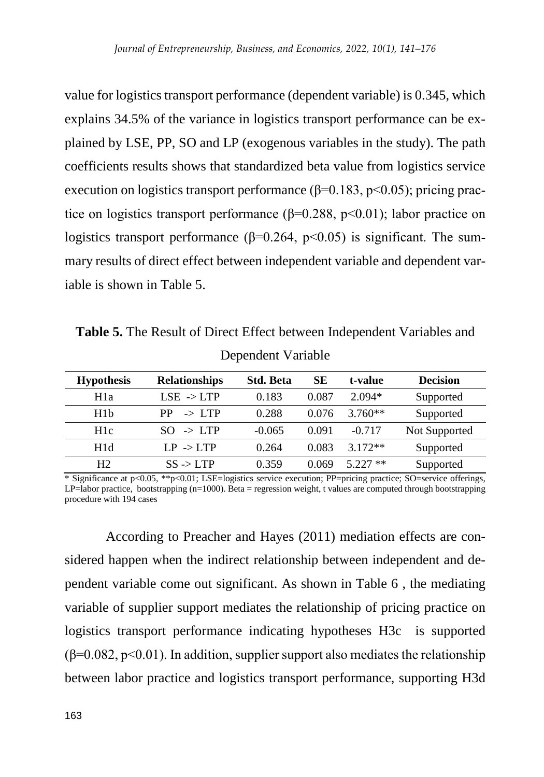value for logistics transport performance (dependent variable) is 0.345, which explains 34.5% of the variance in logistics transport performance can be explained by LSE, PP, SO and LP (exogenous variables in the study). The path coefficients results shows that standardized beta value from logistics service execution on logistics transport performance ( $\beta$ =0.183, p<0.05); pricing practice on logistics transport performance ( $\beta$ =0.288, p<0.01); labor practice on logistics transport performance ( $\beta$ =0.264, p<0.05) is significant. The summary results of direct effect between independent variable and dependent variable is shown in Table 5.

**Table 5.** The Result of Direct Effect between Independent Variables and

| <b>Hypothesis</b> | <b>Relationships</b>     | <b>Std. Beta</b> | SЕ    | t-value    | <b>Decision</b> |
|-------------------|--------------------------|------------------|-------|------------|-----------------|
| H <sub>1</sub> a  | $LSE \rightarrow LTP$    | 0.183            | 0.087 | $2.094*$   | Supported       |
| H1b               | $\rightarrow$ LTP<br>PP. | 0.288            | 0.076 | $3.760**$  | Supported       |
| H <sub>1</sub> c  | $SO \rightarrow LTP$     | $-0.065$         | 0.091 | $-0.717$   | Not Supported   |
| H1d               | $LP \rightarrow LTP$     | 0.264            | 0.083 | $3.172**$  | Supported       |
| H <sub>2</sub>    | $SS \rightarrow LTP$     | 0.359            | 0.069 | $5.227$ ** | Supported       |

Dependent Variable

\* Significance at p<0.05, \*\*p<0.01; LSE=logistics service execution; PP=pricing practice; SO=service offerings,  $LP =$ labor practice, bootstrapping (n=1000). Beta = regression weight, t values are computed through bootstrapping procedure with 194 cases

According to Preacher and Hayes (2011) mediation effects are considered happen when the indirect relationship between independent and dependent variable come out significant. As shown in Table 6 , the mediating variable of supplier support mediates the relationship of pricing practice on logistics transport performance indicating hypotheses H3c is supported  $(\beta=0.082, p<0.01)$ . In addition, supplier support also mediates the relationship between labor practice and logistics transport performance, supporting H3d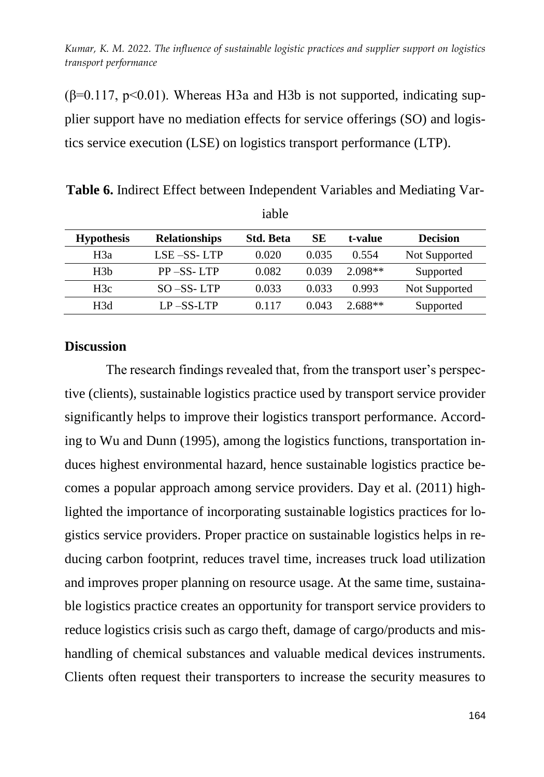$(β=0.117, p<0.01)$ . Whereas H3a and H3b is not supported, indicating supplier support have no mediation effects for service offerings (SO) and logistics service execution (LSE) on logistics transport performance (LTP).

**Table 6.** Indirect Effect between Independent Variables and Mediating Variable

| <b>Hypothesis</b> | <b>Relationships</b> | <b>Std. Beta</b> | SЕ    | t-value   | <b>Decision</b> |
|-------------------|----------------------|------------------|-------|-----------|-----------------|
| H3a               | $LSE - SS - LTP$     | 0.020            | 0.035 | 0.554     | Not Supported   |
| H <sub>3</sub> b  | $PP$ –SS-LTP         | 0.082            | 0.039 | $2.098**$ | Supported       |
| H3c               | $SO - SS - LTP$      | 0.033            | 0.033 | 0.993     | Not Supported   |
| H <sub>3</sub> d  | $LP - SS - LTP$      | 0.117            | 0.043 | $2.688**$ | Supported       |

**Discussion**

The research findings revealed that, from the transport user's perspective (clients), sustainable logistics practice used by transport service provider significantly helps to improve their logistics transport performance. According to Wu and Dunn (1995), among the logistics functions, transportation induces highest environmental hazard, hence sustainable logistics practice becomes a popular approach among service providers. Day et al. (2011) highlighted the importance of incorporating sustainable logistics practices for logistics service providers. Proper practice on sustainable logistics helps in reducing carbon footprint, reduces travel time, increases truck load utilization and improves proper planning on resource usage. At the same time, sustainable logistics practice creates an opportunity for transport service providers to reduce logistics crisis such as cargo theft, damage of cargo/products and mishandling of chemical substances and valuable medical devices instruments. Clients often request their transporters to increase the security measures to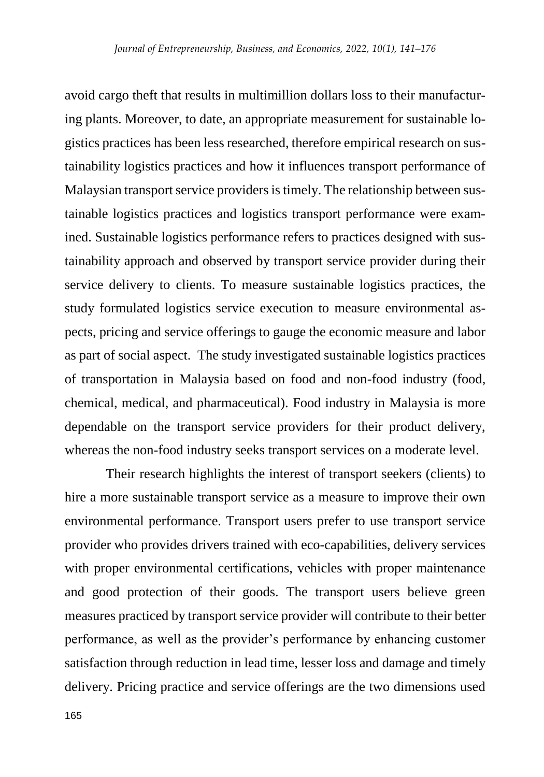avoid cargo theft that results in multimillion dollars loss to their manufacturing plants. Moreover, to date, an appropriate measurement for sustainable logistics practices has been less researched, therefore empirical research on sustainability logistics practices and how it influences transport performance of Malaysian transport service providers is timely. The relationship between sustainable logistics practices and logistics transport performance were examined. Sustainable logistics performance refers to practices designed with sustainability approach and observed by transport service provider during their service delivery to clients. To measure sustainable logistics practices, the study formulated logistics service execution to measure environmental aspects, pricing and service offerings to gauge the economic measure and labor as part of social aspect. The study investigated sustainable logistics practices of transportation in Malaysia based on food and non-food industry (food, chemical, medical, and pharmaceutical). Food industry in Malaysia is more dependable on the transport service providers for their product delivery, whereas the non-food industry seeks transport services on a moderate level.

Their research highlights the interest of transport seekers (clients) to hire a more sustainable transport service as a measure to improve their own environmental performance. Transport users prefer to use transport service provider who provides drivers trained with eco-capabilities, delivery services with proper environmental certifications, vehicles with proper maintenance and good protection of their goods. The transport users believe green measures practiced by transport service provider will contribute to their better performance, as well as the provider's performance by enhancing customer satisfaction through reduction in lead time, lesser loss and damage and timely delivery. Pricing practice and service offerings are the two dimensions used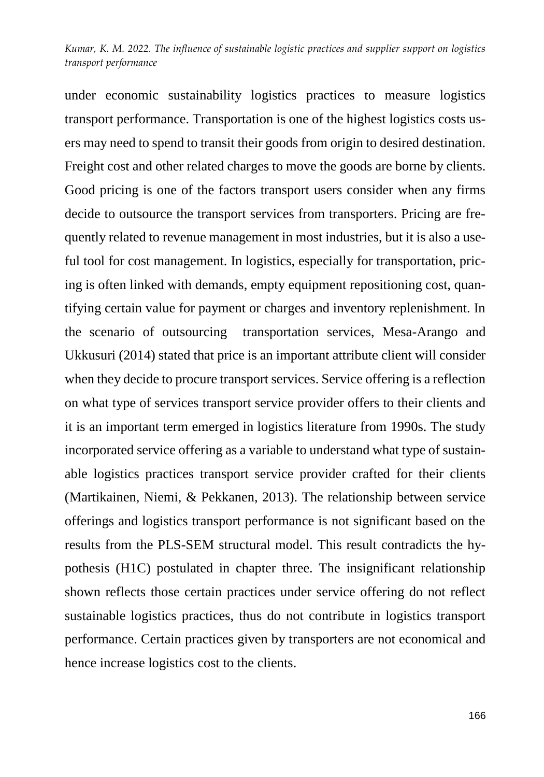under economic sustainability logistics practices to measure logistics transport performance. Transportation is one of the highest logistics costs users may need to spend to transit their goods from origin to desired destination. Freight cost and other related charges to move the goods are borne by clients. Good pricing is one of the factors transport users consider when any firms decide to outsource the transport services from transporters. Pricing are frequently related to revenue management in most industries, but it is also a useful tool for cost management. In logistics, especially for transportation, pricing is often linked with demands, empty equipment repositioning cost, quantifying certain value for payment or charges and inventory replenishment. In the scenario of outsourcing transportation services, Mesa-Arango and Ukkusuri (2014) stated that price is an important attribute client will consider when they decide to procure transport services. Service offering is a reflection on what type of services transport service provider offers to their clients and it is an important term emerged in logistics literature from 1990s. The study incorporated service offering as a variable to understand what type of sustainable logistics practices transport service provider crafted for their clients (Martikainen, Niemi, & Pekkanen, 2013). The relationship between service offerings and logistics transport performance is not significant based on the results from the PLS-SEM structural model. This result contradicts the hypothesis (H1C) postulated in chapter three. The insignificant relationship shown reflects those certain practices under service offering do not reflect sustainable logistics practices, thus do not contribute in logistics transport performance. Certain practices given by transporters are not economical and hence increase logistics cost to the clients.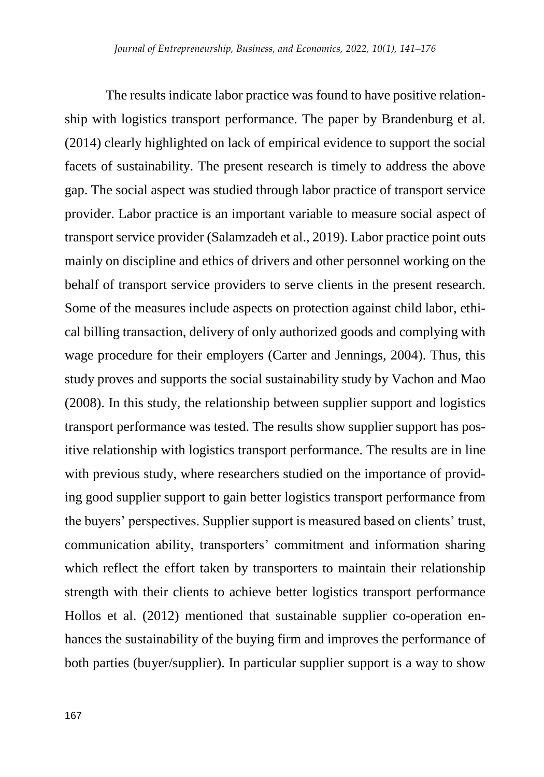The results indicate labor practice was found to have positive relationship with logistics transport performance. The paper by Brandenburg et al. (2014) clearly highlighted on lack of empirical evidence to support the social facets of sustainability. The present research is timely to address the above gap. The social aspect was studied through labor practice of transport service provider. Labor practice is an important variable to measure social aspect of transport service provider (Salamzadeh et al., 2019). Labor practice point outs mainly on discipline and ethics of drivers and other personnel working on the behalf of transport service providers to serve clients in the present research. Some of the measures include aspects on protection against child labor, ethical billing transaction, delivery of only authorized goods and complying with wage procedure for their employers (Carter and Jennings, 2004). Thus, this study proves and supports the social sustainability study by Vachon and Mao (2008). In this study, the relationship between supplier support and logistics transport performance was tested. The results show supplier support has positive relationship with logistics transport performance. The results are in line with previous study, where researchers studied on the importance of providing good supplier support to gain better logistics transport performance from the buyers' perspectives. Supplier support is measured based on clients' trust, communication ability, transporters' commitment and information sharing which reflect the effort taken by transporters to maintain their relationship strength with their clients to achieve better logistics transport performance Hollos et al. (2012) mentioned that sustainable supplier co-operation enhances the sustainability of the buying firm and improves the performance of both parties (buyer/supplier). In particular supplier support is a way to show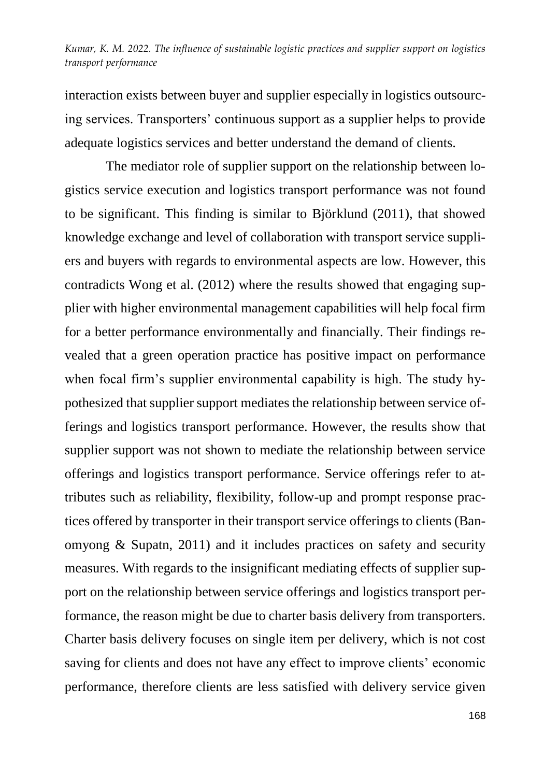interaction exists between buyer and supplier especially in logistics outsourcing services. Transporters' continuous support as a supplier helps to provide adequate logistics services and better understand the demand of clients.

The mediator role of supplier support on the relationship between logistics service execution and logistics transport performance was not found to be significant. This finding is similar to Björklund (2011), that showed knowledge exchange and level of collaboration with transport service suppliers and buyers with regards to environmental aspects are low. However, this contradicts Wong et al. (2012) where the results showed that engaging supplier with higher environmental management capabilities will help focal firm for a better performance environmentally and financially. Their findings revealed that a green operation practice has positive impact on performance when focal firm's supplier environmental capability is high. The study hypothesized that supplier support mediates the relationship between service offerings and logistics transport performance. However, the results show that supplier support was not shown to mediate the relationship between service offerings and logistics transport performance. Service offerings refer to attributes such as reliability, flexibility, follow-up and prompt response practices offered by transporter in their transport service offerings to clients (Banomyong & Supatn, 2011) and it includes practices on safety and security measures. With regards to the insignificant mediating effects of supplier support on the relationship between service offerings and logistics transport performance, the reason might be due to charter basis delivery from transporters. Charter basis delivery focuses on single item per delivery, which is not cost saving for clients and does not have any effect to improve clients' economic performance, therefore clients are less satisfied with delivery service given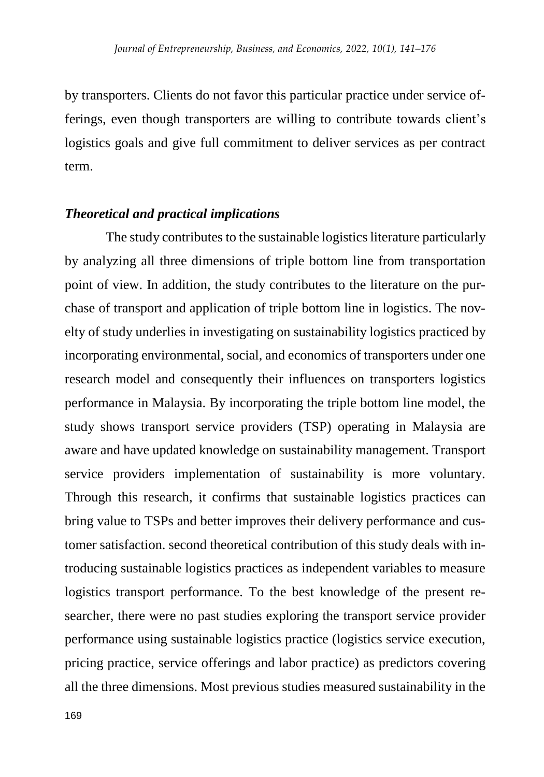by transporters. Clients do not favor this particular practice under service offerings, even though transporters are willing to contribute towards client's logistics goals and give full commitment to deliver services as per contract term.

# *Theoretical and practical implications*

The study contributes to the sustainable logistics literature particularly by analyzing all three dimensions of triple bottom line from transportation point of view. In addition, the study contributes to the literature on the purchase of transport and application of triple bottom line in logistics. The novelty of study underlies in investigating on sustainability logistics practiced by incorporating environmental, social, and economics of transporters under one research model and consequently their influences on transporters logistics performance in Malaysia. By incorporating the triple bottom line model, the study shows transport service providers (TSP) operating in Malaysia are aware and have updated knowledge on sustainability management. Transport service providers implementation of sustainability is more voluntary. Through this research, it confirms that sustainable logistics practices can bring value to TSPs and better improves their delivery performance and customer satisfaction. second theoretical contribution of this study deals with introducing sustainable logistics practices as independent variables to measure logistics transport performance. To the best knowledge of the present researcher, there were no past studies exploring the transport service provider performance using sustainable logistics practice (logistics service execution, pricing practice, service offerings and labor practice) as predictors covering all the three dimensions. Most previous studies measured sustainability in the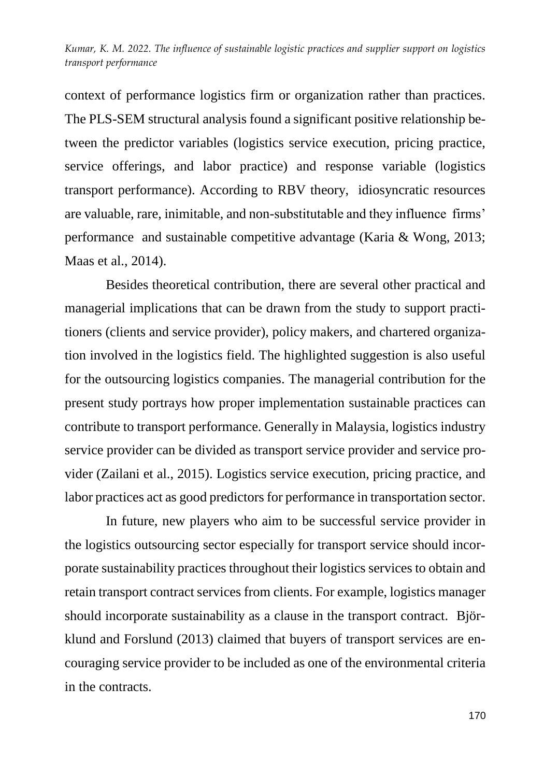context of performance logistics firm or organization rather than practices. The PLS-SEM structural analysis found a significant positive relationship between the predictor variables (logistics service execution, pricing practice, service offerings, and labor practice) and response variable (logistics transport performance). According to RBV theory, idiosyncratic resources are valuable, rare, inimitable, and non-substitutable and they influence firms' performance and sustainable competitive advantage (Karia & Wong, 2013; Maas et al., 2014).

Besides theoretical contribution, there are several other practical and managerial implications that can be drawn from the study to support practitioners (clients and service provider), policy makers, and chartered organization involved in the logistics field. The highlighted suggestion is also useful for the outsourcing logistics companies. The managerial contribution for the present study portrays how proper implementation sustainable practices can contribute to transport performance. Generally in Malaysia, logistics industry service provider can be divided as transport service provider and service provider (Zailani et al., 2015). Logistics service execution, pricing practice, and labor practices act as good predictors for performance in transportation sector.

In future, new players who aim to be successful service provider in the logistics outsourcing sector especially for transport service should incorporate sustainability practices throughout their logistics services to obtain and retain transport contract services from clients. For example, logistics manager should incorporate sustainability as a clause in the transport contract. Björklund and Forslund (2013) claimed that buyers of transport services are encouraging service provider to be included as one of the environmental criteria in the contracts.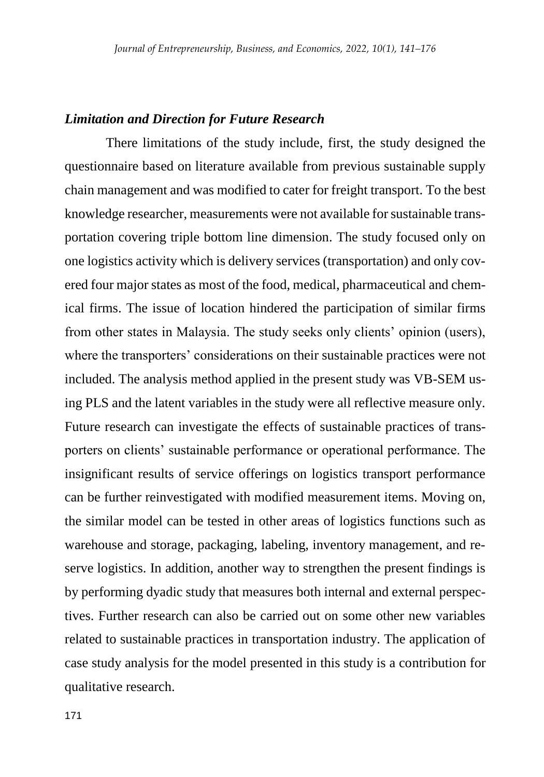### *Limitation and Direction for Future Research*

There limitations of the study include, first, the study designed the questionnaire based on literature available from previous sustainable supply chain management and was modified to cater for freight transport. To the best knowledge researcher, measurements were not available for sustainable transportation covering triple bottom line dimension. The study focused only on one logistics activity which is delivery services (transportation) and only covered four major states as most of the food, medical, pharmaceutical and chemical firms. The issue of location hindered the participation of similar firms from other states in Malaysia. The study seeks only clients' opinion (users), where the transporters' considerations on their sustainable practices were not included. The analysis method applied in the present study was VB-SEM using PLS and the latent variables in the study were all reflective measure only. Future research can investigate the effects of sustainable practices of transporters on clients' sustainable performance or operational performance. The insignificant results of service offerings on logistics transport performance can be further reinvestigated with modified measurement items. Moving on, the similar model can be tested in other areas of logistics functions such as warehouse and storage, packaging, labeling, inventory management, and reserve logistics. In addition, another way to strengthen the present findings is by performing dyadic study that measures both internal and external perspectives. Further research can also be carried out on some other new variables related to sustainable practices in transportation industry. The application of case study analysis for the model presented in this study is a contribution for qualitative research.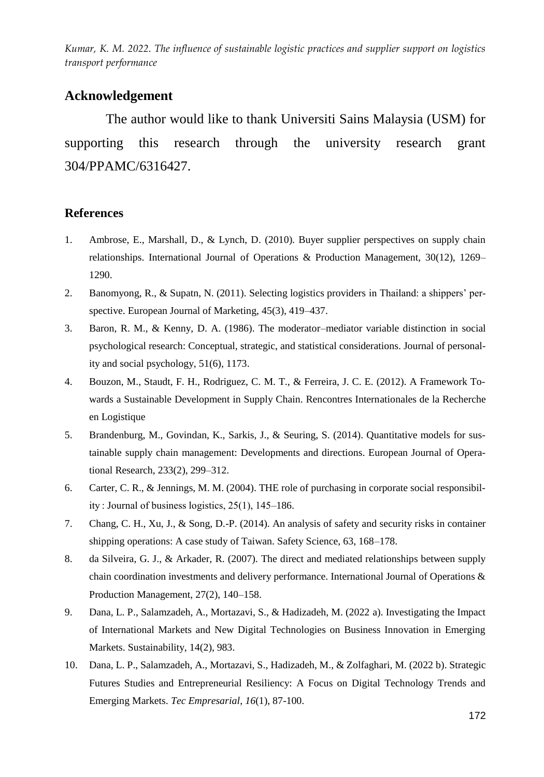# **Acknowledgement**

The author would like to thank Universiti Sains Malaysia (USM) for supporting this research through the university research grant 304/PPAMC/6316427.

### **References**

- 1. Ambrose, E., Marshall, D., & Lynch, D. (2010). Buyer supplier perspectives on supply chain relationships. International Journal of Operations & Production Management, 30(12), 1269– 1290.
- 2. Banomyong, R., & Supatn, N. (2011). Selecting logistics providers in Thailand: a shippers' perspective. European Journal of Marketing, 45(3), 419–437.
- 3. Baron, R. M., & Kenny, D. A. (1986). The moderator–mediator variable distinction in social psychological research: Conceptual, strategic, and statistical considerations. Journal of personality and social psychology, 51(6), 1173.
- 4. Bouzon, M., Staudt, F. H., Rodriguez, C. M. T., & Ferreira, J. C. E. (2012). A Framework Towards a Sustainable Development in Supply Chain. Rencontres Internationales de la Recherche en Logistique
- 5. Brandenburg, M., Govindan, K., Sarkis, J., & Seuring, S. (2014). Quantitative models for sustainable supply chain management: Developments and directions. European Journal of Operational Research, 233(2), 299–312.
- 6. Carter, C. R., & Jennings, M. M. (2004). THE role of purchasing in corporate social responsibility : Journal of business logistics, 25(1), 145–186.
- 7. Chang, C. H., Xu, J., & Song, D.-P. (2014). An analysis of safety and security risks in container shipping operations: A case study of Taiwan. Safety Science, 63, 168–178.
- 8. da Silveira, G. J., & Arkader, R. (2007). The direct and mediated relationships between supply chain coordination investments and delivery performance. International Journal of Operations & Production Management, 27(2), 140–158.
- 9. Dana, L. P., Salamzadeh, A., Mortazavi, S., & Hadizadeh, M. (2022 a). Investigating the Impact of International Markets and New Digital Technologies on Business Innovation in Emerging Markets. Sustainability, 14(2), 983.
- 10. Dana, L. P., Salamzadeh, A., Mortazavi, S., Hadizadeh, M., & Zolfaghari, M. (2022 b). Strategic Futures Studies and Entrepreneurial Resiliency: A Focus on Digital Technology Trends and Emerging Markets. *Tec Empresarial*, *16*(1), 87-100.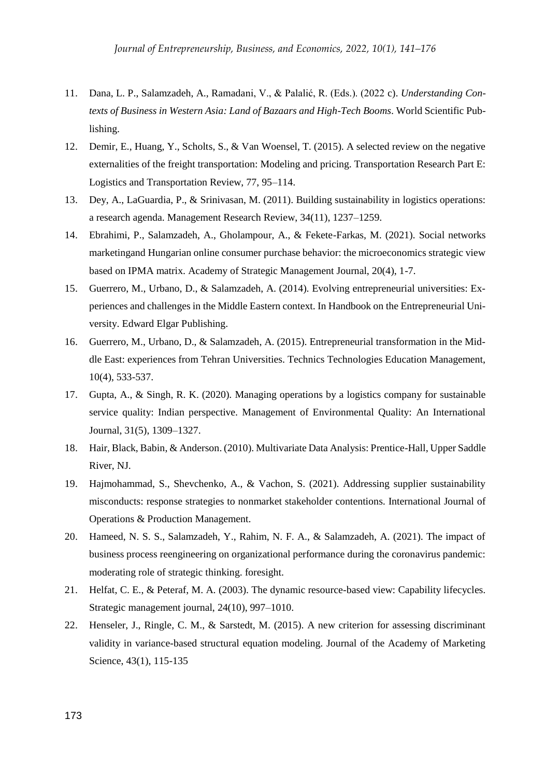- 11. Dana, L. P., Salamzadeh, A., Ramadani, V., & Palalić, R. (Eds.). (2022 c). *Understanding Contexts of Business in Western Asia: Land of Bazaars and High-Tech Booms*. World Scientific Publishing.
- 12. Demir, E., Huang, Y., Scholts, S., & Van Woensel, T. (2015). A selected review on the negative externalities of the freight transportation: Modeling and pricing. Transportation Research Part E: Logistics and Transportation Review, 77, 95–114.
- 13. Dey, A., LaGuardia, P., & Srinivasan, M. (2011). Building sustainability in logistics operations: a research agenda. Management Research Review, 34(11), 1237–1259.
- 14. Ebrahimi, P., Salamzadeh, A., Gholampour, A., & Fekete-Farkas, M. (2021). Social networks marketingand Hungarian online consumer purchase behavior: the microeconomics strategic view based on IPMA matrix. Academy of Strategic Management Journal, 20(4), 1-7.
- 15. Guerrero, M., Urbano, D., & Salamzadeh, A. (2014). Evolving entrepreneurial universities: Experiences and challenges in the Middle Eastern context. In Handbook on the Entrepreneurial University. Edward Elgar Publishing.
- 16. Guerrero, M., Urbano, D., & Salamzadeh, A. (2015). Entrepreneurial transformation in the Middle East: experiences from Tehran Universities. Technics Technologies Education Management, 10(4), 533-537.
- 17. Gupta, A., & Singh, R. K. (2020). Managing operations by a logistics company for sustainable service quality: Indian perspective. Management of Environmental Quality: An International Journal, 31(5), 1309–1327.
- 18. Hair, Black, Babin, & Anderson. (2010). Multivariate Data Analysis: Prentice-Hall, Upper Saddle River, NJ.
- 19. Hajmohammad, S., Shevchenko, A., & Vachon, S. (2021). Addressing supplier sustainability misconducts: response strategies to nonmarket stakeholder contentions. International Journal of Operations & Production Management.
- 20. Hameed, N. S. S., Salamzadeh, Y., Rahim, N. F. A., & Salamzadeh, A. (2021). The impact of business process reengineering on organizational performance during the coronavirus pandemic: moderating role of strategic thinking. foresight.
- 21. Helfat, C. E., & Peteraf, M. A. (2003). The dynamic resource-based view: Capability lifecycles. Strategic management journal, 24(10), 997–1010.
- 22. Henseler, J., Ringle, C. M., & Sarstedt, M. (2015). A new criterion for assessing discriminant validity in variance-based structural equation modeling. Journal of the Academy of Marketing Science, 43(1), 115-135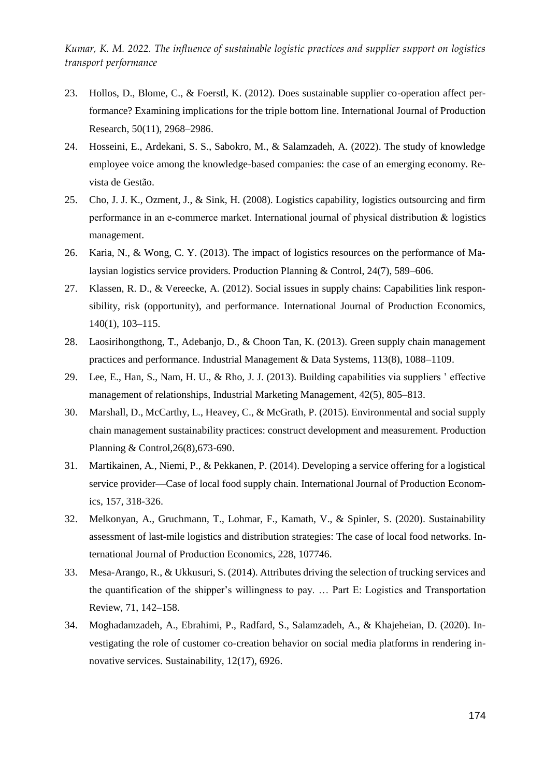- 23. Hollos, D., Blome, C., & Foerstl, K. (2012). Does sustainable supplier co-operation affect performance? Examining implications for the triple bottom line. International Journal of Production Research, 50(11), 2968–2986.
- 24. Hosseini, E., Ardekani, S. S., Sabokro, M., & Salamzadeh, A. (2022). The study of knowledge employee voice among the knowledge-based companies: the case of an emerging economy. Revista de Gestão.
- 25. Cho, J. J. K., Ozment, J., & Sink, H. (2008). Logistics capability, logistics outsourcing and firm performance in an e-commerce market. International journal of physical distribution & logistics management.
- 26. Karia, N., & Wong, C. Y. (2013). The impact of logistics resources on the performance of Malaysian logistics service providers. Production Planning & Control, 24(7), 589–606.
- 27. Klassen, R. D., & Vereecke, A. (2012). Social issues in supply chains: Capabilities link responsibility, risk (opportunity), and performance. International Journal of Production Economics, 140(1), 103–115.
- 28. Laosirihongthong, T., Adebanjo, D., & Choon Tan, K. (2013). Green supply chain management practices and performance. Industrial Management & Data Systems, 113(8), 1088–1109.
- 29. Lee, E., Han, S., Nam, H. U., & Rho, J. J. (2013). Building capabilities via suppliers ' effective management of relationships, Industrial Marketing Management, 42(5), 805–813.
- 30. Marshall, D., McCarthy, L., Heavey, C., & McGrath, P. (2015). Environmental and social supply chain management sustainability practices: construct development and measurement. Production Planning & Control,26(8),673-690.
- 31. Martikainen, A., Niemi, P., & Pekkanen, P. (2014). Developing a service offering for a logistical service provider—Case of local food supply chain. International Journal of Production Economics, 157, 318-326.
- 32. Melkonyan, A., Gruchmann, T., Lohmar, F., Kamath, V., & Spinler, S. (2020). Sustainability assessment of last-mile logistics and distribution strategies: The case of local food networks. International Journal of Production Economics, 228, 107746.
- 33. Mesa-Arango, R., & Ukkusuri, S. (2014). Attributes driving the selection of trucking services and the quantification of the shipper's willingness to pay. … Part E: Logistics and Transportation Review, 71, 142–158.
- 34. Moghadamzadeh, A., Ebrahimi, P., Radfard, S., Salamzadeh, A., & Khajeheian, D. (2020). Investigating the role of customer co-creation behavior on social media platforms in rendering innovative services. Sustainability, 12(17), 6926.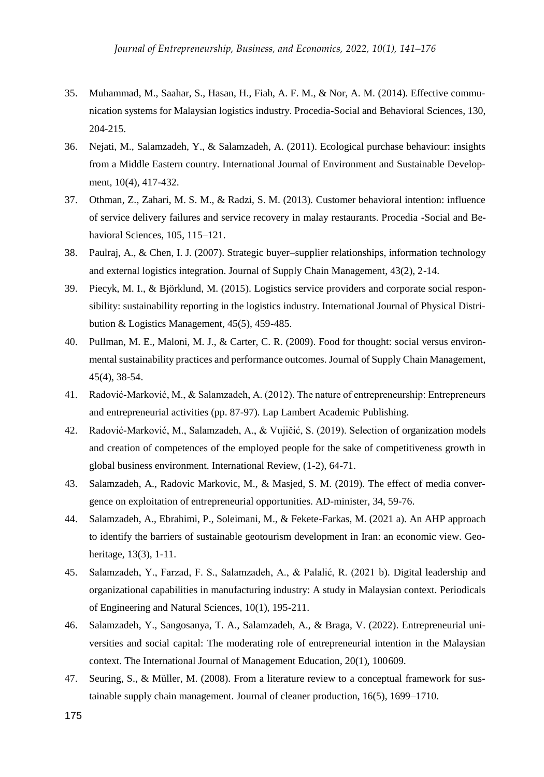- 35. Muhammad, M., Saahar, S., Hasan, H., Fiah, A. F. M., & Nor, A. M. (2014). Effective communication systems for Malaysian logistics industry. Procedia-Social and Behavioral Sciences, 130, 204-215.
- 36. Nejati, M., Salamzadeh, Y., & Salamzadeh, A. (2011). Ecological purchase behaviour: insights from a Middle Eastern country. International Journal of Environment and Sustainable Development, 10(4), 417-432.
- 37. Othman, Z., Zahari, M. S. M., & Radzi, S. M. (2013). Customer behavioral intention: influence of service delivery failures and service recovery in malay restaurants. Procedia -Social and Behavioral Sciences, 105, 115–121.
- 38. Paulraj, A., & Chen, I. J. (2007). Strategic buyer–supplier relationships, information technology and external logistics integration. Journal of Supply Chain Management, 43(2), 2-14.
- 39. Piecyk, M. I., & Björklund, M. (2015). Logistics service providers and corporate social responsibility: sustainability reporting in the logistics industry. International Journal of Physical Distribution & Logistics Management, 45(5), 459-485.
- 40. Pullman, M. E., Maloni, M. J., & Carter, C. R. (2009). Food for thought: social versus environmental sustainability practices and performance outcomes. Journal of Supply Chain Management, 45(4), 38-54.
- 41. Radović-Marković, M., & Salamzadeh, A. (2012). The nature of entrepreneurship: Entrepreneurs and entrepreneurial activities (pp. 87-97). Lap Lambert Academic Publishing.
- 42. Radović-Marković, M., Salamzadeh, A., & Vujičić, S. (2019). Selection of organization models and creation of competences of the employed people for the sake of competitiveness growth in global business environment. International Review, (1-2), 64-71.
- 43. Salamzadeh, A., Radovic Markovic, M., & Masjed, S. M. (2019). The effect of media convergence on exploitation of entrepreneurial opportunities. AD-minister, 34, 59-76.
- 44. Salamzadeh, A., Ebrahimi, P., Soleimani, M., & Fekete-Farkas, M. (2021 a). An AHP approach to identify the barriers of sustainable geotourism development in Iran: an economic view. Geoheritage, 13(3), 1-11.
- 45. Salamzadeh, Y., Farzad, F. S., Salamzadeh, A., & Palalić, R. (2021 b). Digital leadership and organizational capabilities in manufacturing industry: A study in Malaysian context. Periodicals of Engineering and Natural Sciences, 10(1), 195-211.
- 46. Salamzadeh, Y., Sangosanya, T. A., Salamzadeh, A., & Braga, V. (2022). Entrepreneurial universities and social capital: The moderating role of entrepreneurial intention in the Malaysian context. The International Journal of Management Education, 20(1), 100609.
- 47. Seuring, S., & Müller, M. (2008). From a literature review to a conceptual framework for sustainable supply chain management. Journal of cleaner production, 16(5), 1699–1710.